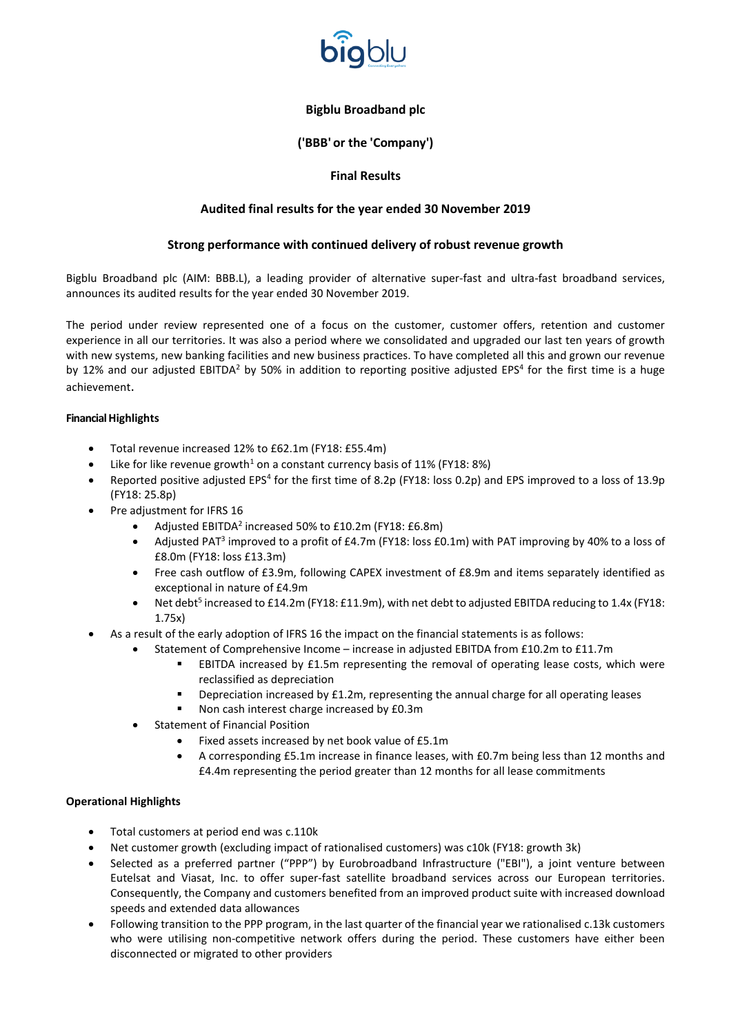

# **('BBB' or the 'Company')**

# **Final Results**

# **Audited final results for the year ended 30 November 2019**

# **Strong performance with continued delivery of robust revenue growth**

Bigblu Broadband plc (AIM: BBB.L), a leading provider of alternative super-fast and ultra-fast broadband services, announces its audited results for the year ended 30 November 2019.

The period under review represented one of a focus on the customer, customer offers, retention and customer experience in all our territories. It was also a period where we consolidated and upgraded our last ten years of growth with new systems, new banking facilities and new business practices. To have completed all this and grown our revenue by 12% and our adjusted EBITDA<sup>2</sup> by 50% in addition to reporting positive adjusted EPS<sup>4</sup> for the first time is a huge achievement.

## **Financial Highlights**

- Total revenue increased 12% to £62.1m (FY18: £55.4m)
- Like for like revenue growth<sup>1</sup> on a constant currency basis of 11% (FY18: 8%)
- Reported positive adjusted EPS<sup>4</sup> for the first time of 8.2p (FY18: loss 0.2p) and EPS improved to a loss of 13.9p (FY18: 25.8p)
- Pre adjustment for IFRS 16
	- Adjusted EBITDA<sup>2</sup> increased 50% to £10.2m (FY18: £6.8m)
	- Adjusted PAT<sup>3</sup> improved to a profit of £4.7m (FY18: loss £0.1m) with PAT improving by 40% to a loss of £8.0m (FY18: loss £13.3m)
	- Free cash outflow of £3.9m, following CAPEX investment of £8.9m and items separately identified as exceptional in nature of £4.9m
	- Net debt<sup>5</sup> increased to £14.2m (FY18: £11.9m), with net debt to adjusted EBITDA reducing to 1.4x (FY18: 1.75x)
- As a result of the early adoption of IFRS 16 the impact on the financial statements is as follows:
	- Statement of Comprehensive Income increase in adjusted EBITDA from £10.2m to £11.7m
		- **EBITDA** increased by £1.5m representing the removal of operating lease costs, which were reclassified as depreciation
		- Depreciation increased by £1.2m, representing the annual charge for all operating leases
		- Non cash interest charge increased by £0.3m
	- Statement of Financial Position
		- Fixed assets increased by net book value of £5.1m
		- A corresponding £5.1m increase in finance leases, with £0.7m being less than 12 months and £4.4m representing the period greater than 12 months for all lease commitments

# **Operational Highlights**

- Total customers at period end was c.110k
- Net customer growth (excluding impact of rationalised customers) was c10k (FY18: growth 3k)
- Selected as a preferred partner ("PPP") by Eurobroadband Infrastructure ("EBI"), a joint venture between Eutelsat and Viasat, Inc. to offer super-fast satellite broadband services across our European territories. Consequently, the Company and customers benefited from an improved product suite with increased download speeds and extended data allowances
- Following transition to the PPP program, in the last quarter of the financial year we rationalised c.13k customers who were utilising non-competitive network offers during the period. These customers have either been disconnected or migrated to other providers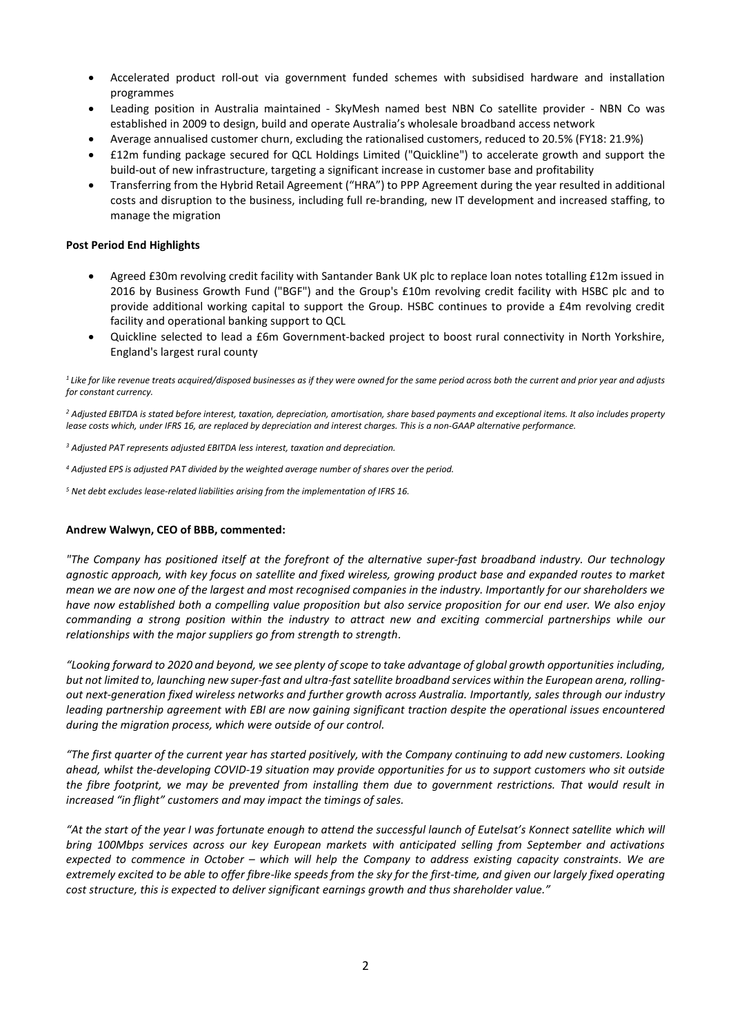- Accelerated product roll-out via government funded schemes with subsidised hardware and installation programmes
- Leading position in Australia maintained SkyMesh named best NBN Co satellite provider NBN Co was established in 2009 to design, build and operate Australia's wholesale broadband access network
- Average annualised customer churn, excluding the rationalised customers, reduced to 20.5% (FY18: 21.9%)
- £12m funding package secured for QCL Holdings Limited ("Quickline") to accelerate growth and support the build-out of new infrastructure, targeting a significant increase in customer base and profitability
- Transferring from the Hybrid Retail Agreement ("HRA") to PPP Agreement during the year resulted in additional costs and disruption to the business, including full re-branding, new IT development and increased staffing, to manage the migration

## **Post Period End Highlights**

- Agreed £30m revolving credit facility with Santander Bank UK plc to replace loan notes totalling £12m issued in 2016 by Business Growth Fund ("BGF") and the Group's £10m revolving credit facility with HSBC plc and to provide additional working capital to support the Group. HSBC continues to provide a £4m revolving credit facility and operational banking support to QCL
- Quickline selected to lead a £6m Government-backed project to boost rural connectivity in North Yorkshire, England's largest rural county

<sup>1</sup> Like for like revenue treats acquired/disposed businesses as if they were owned for the same period across both the current and prior year and adjusts *for constant currency.*

<sup>2</sup> Adjusted EBITDA is stated before interest, taxation, depreciation, amortisation, share based payments and exceptional items. It also includes property lease costs which, under IFRS 16, are replaced by depreciation and interest charges. This is a non-GAAP alternative performance.

*<sup>3</sup> Adjusted PAT represents adjusted EBITDA less interest, taxation and depreciation.*

*<sup>4</sup> Adjusted EPS is adjusted PAT divided by the weighted average number of shares over the period.*

*<sup>5</sup> Net debt excludes lease-related liabilities arising from the implementation of IFRS 16.*

## **Andrew Walwyn, CEO of BBB, commented:**

*"The Company has positioned itself at the forefront of the alternative super-fast broadband industry. Our technology agnostic approach, with key focus on satellite and fixed wireless, growing product base and expanded routes to market mean we are now one of the largest and most recognised companies in the industry. Importantly for our shareholders we have now established both a compelling value proposition but also service proposition for our end user. We also enjoy commanding a strong position within the industry to attract new and exciting commercial partnerships while our relationships with the major suppliers go from strength to strength.*

*"Looking forward to 2020 and beyond, we see plenty of scope to take advantage of global growth opportunities including, but not limited to, launching new super-fast and ultra-fast satellite broadband services within the European arena, rollingout next-generation fixed wireless networks and further growth across Australia. Importantly, sales through our industry leading partnership agreement with EBI are now gaining significant traction despite the operational issues encountered during the migration process, which were outside of our control.*

*"The first quarter of the current year has started positively, with the Company continuing to add new customers. Looking ahead, whilst the-developing COVID-19 situation may provide opportunities for us to support customers who sit outside the fibre footprint, we may be prevented from installing them due to government restrictions. That would result in increased "in flight" customers and may impact the timings of sales.*

*"At the start of the year I was fortunate enough to attend the successful launch of Eutelsat's Konnect satellite which will bring 100Mbps services across our key European markets with anticipated selling from September and activations expected to commence in October – which will help the Company to address existing capacity constraints. We are extremely excited to be able to offer fibre-like speeds from the sky for the first-time, and given our largely fixed operating cost structure, this is expected to deliver significant earnings growth and thus shareholder value."*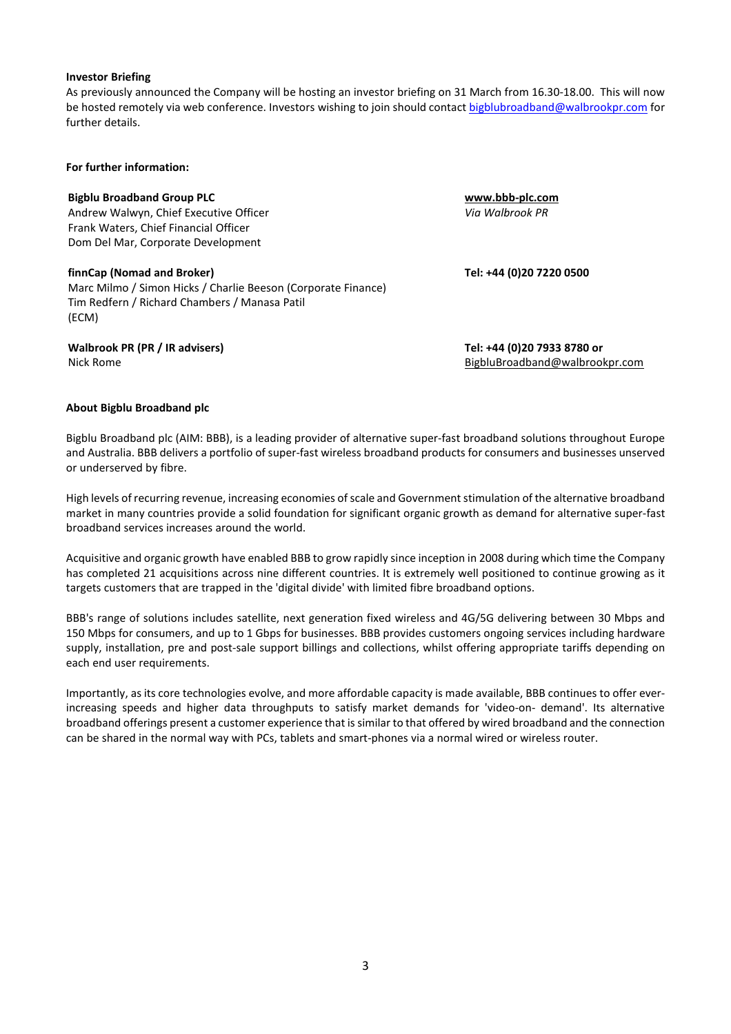#### **Investor Briefing**

As previously announced the Company will be hosting an investor briefing on 31 March from 16.30-18.00. This will now be hosted remotely via web conference. Investors wishing to join should contact [bigblubroadband@walbrookpr.com](mailto:bigblubroadband@walbrookpr.com) for further details.

#### **For further information:**

## **Bigblu Broadband Group PLC [www.bbb-plc.com](http://www.bbb-plc.com/)**

Andrew Walwyn, Chief Executive Officer Frank Waters, Chief Financial Officer Dom Del Mar, Corporate Development

## **finnCap (Nomad and Broker)**

Marc Milmo / Simon Hicks / Charlie Beeson (Corporate Finance) Tim Redfern / Richard Chambers / Manasa Patil (ECM)

**Walbrook PR (PR / IR advisers) Tel: +44 (0)20 7933 8780 or**

*Via Walbrook PR*

**Tel: +44 (0)20 7220 0500**

Nick Rome **[BigbluBroadband@walbrookpr.com](mailto:BigbluBroadband@walbrookpr.com)** 

## **About Bigblu Broadband plc**

Bigblu Broadband plc (AIM: BBB), is a leading provider of alternative super-fast broadband solutions throughout Europe and Australia. BBB delivers a portfolio of super-fast wireless broadband products for consumers and businesses unserved or underserved by fibre.

High levels of recurring revenue, increasing economies of scale and Government stimulation of the alternative broadband market in many countries provide a solid foundation for significant organic growth as demand for alternative super-fast broadband services increases around the world.

Acquisitive and organic growth have enabled BBB to grow rapidly since inception in 2008 during which time the Company has completed 21 acquisitions across nine different countries. It is extremely well positioned to continue growing as it targets customers that are trapped in the 'digital divide' with limited fibre broadband options.

BBB's range of solutions includes satellite, next generation fixed wireless and 4G/5G delivering between 30 Mbps and 150 Mbps for consumers, and up to 1 Gbps for businesses. BBB provides customers ongoing services including hardware supply, installation, pre and post-sale support billings and collections, whilst offering appropriate tariffs depending on each end user requirements.

Importantly, as its core technologies evolve, and more affordable capacity is made available, BBB continues to offer everincreasing speeds and higher data throughputs to satisfy market demands for 'video-on- demand'. Its alternative broadband offerings present a customer experience that issimilar to that offered by wired broadband and the connection can be shared in the normal way with PCs, tablets and smart-phones via a normal wired or wireless router.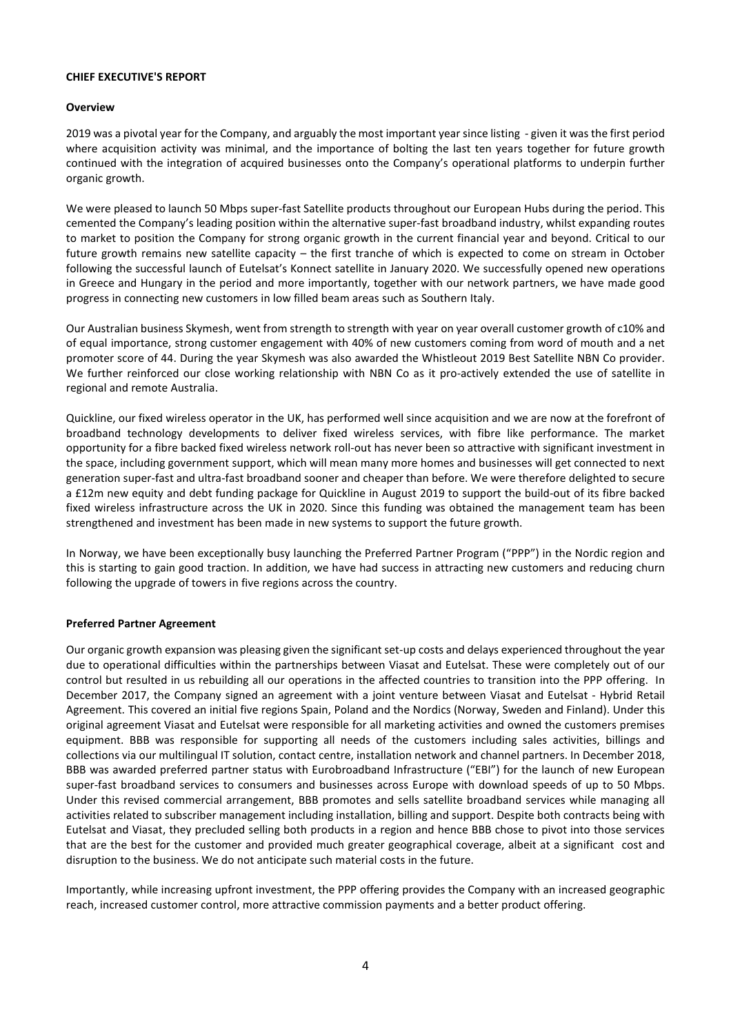## **CHIEF EXECUTIVE'S REPORT**

## **Overview**

2019 was a pivotal year for the Company, and arguably the most important year since listing - given it was the first period where acquisition activity was minimal, and the importance of bolting the last ten years together for future growth continued with the integration of acquired businesses onto the Company's operational platforms to underpin further organic growth.

We were pleased to launch 50 Mbps super-fast Satellite products throughout our European Hubs during the period. This cemented the Company's leading position within the alternative super-fast broadband industry, whilst expanding routes to market to position the Company for strong organic growth in the current financial year and beyond. Critical to our future growth remains new satellite capacity – the first tranche of which is expected to come on stream in October following the successful launch of Eutelsat's Konnect satellite in January 2020. We successfully opened new operations in Greece and Hungary in the period and more importantly, together with our network partners, we have made good progress in connecting new customers in low filled beam areas such as Southern Italy.

Our Australian business Skymesh, went from strength to strength with year on year overall customer growth of c10% and of equal importance, strong customer engagement with 40% of new customers coming from word of mouth and a net promoter score of 44. During the year Skymesh was also awarded the Whistleout 2019 Best Satellite NBN Co provider. We further reinforced our close working relationship with NBN Co as it pro-actively extended the use of satellite in regional and remote Australia.

Quickline, our fixed wireless operator in the UK, has performed well since acquisition and we are now at the forefront of broadband technology developments to deliver fixed wireless services, with fibre like performance. The market opportunity for a fibre backed fixed wireless network roll-out has never been so attractive with significant investment in the space, including government support, which will mean many more homes and businesses will get connected to next generation super-fast and ultra-fast broadband sooner and cheaper than before. We were therefore delighted to secure a £12m new equity and debt funding package for Quickline in August 2019 to support the build-out of its fibre backed fixed wireless infrastructure across the UK in 2020. Since this funding was obtained the management team has been strengthened and investment has been made in new systems to support the future growth.

In Norway, we have been exceptionally busy launching the Preferred Partner Program ("PPP") in the Nordic region and this is starting to gain good traction. In addition, we have had success in attracting new customers and reducing churn following the upgrade of towers in five regions across the country.

## **Preferred Partner Agreement**

Our organic growth expansion was pleasing given the significant set-up costs and delays experienced throughout the year due to operational difficulties within the partnerships between Viasat and Eutelsat. These were completely out of our control but resulted in us rebuilding all our operations in the affected countries to transition into the PPP offering. In December 2017, the Company signed an agreement with a joint venture between Viasat and Eutelsat - Hybrid Retail Agreement. This covered an initial five regions Spain, Poland and the Nordics (Norway, Sweden and Finland). Under this original agreement Viasat and Eutelsat were responsible for all marketing activities and owned the customers premises equipment. BBB was responsible for supporting all needs of the customers including sales activities, billings and collections via our multilingual IT solution, contact centre, installation network and channel partners. In December 2018, BBB was awarded preferred partner status with Eurobroadband Infrastructure ("EBI") for the launch of new European super-fast broadband services to consumers and businesses across Europe with download speeds of up to 50 Mbps. Under this revised commercial arrangement, BBB promotes and sells satellite broadband services while managing all activities related to subscriber management including installation, billing and support. Despite both contracts being with Eutelsat and Viasat, they precluded selling both products in a region and hence BBB chose to pivot into those services that are the best for the customer and provided much greater geographical coverage, albeit at a significant cost and disruption to the business. We do not anticipate such material costs in the future.

Importantly, while increasing upfront investment, the PPP offering provides the Company with an increased geographic reach, increased customer control, more attractive commission payments and a better product offering.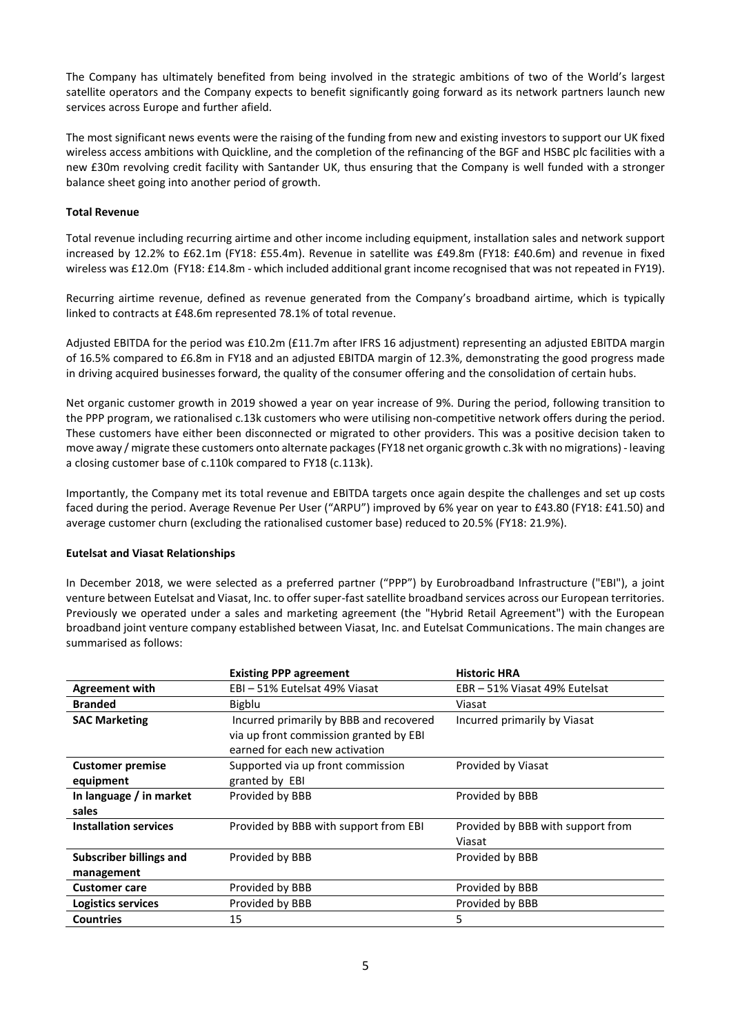The Company has ultimately benefited from being involved in the strategic ambitions of two of the World's largest satellite operators and the Company expects to benefit significantly going forward as its network partners launch new services across Europe and further afield.

The most significant news events were the raising of the funding from new and existing investors to support our UK fixed wireless access ambitions with Quickline, and the completion of the refinancing of the BGF and HSBC plc facilities with a new £30m revolving credit facility with Santander UK, thus ensuring that the Company is well funded with a stronger balance sheet going into another period of growth.

## **Total Revenue**

Total revenue including recurring airtime and other income including equipment, installation sales and network support increased by 12.2% to £62.1m (FY18: £55.4m). Revenue in satellite was £49.8m (FY18: £40.6m) and revenue in fixed wireless was £12.0m (FY18: £14.8m - which included additional grant income recognised that was not repeated in FY19).

Recurring airtime revenue, defined as revenue generated from the Company's broadband airtime, which is typically linked to contracts at £48.6m represented 78.1% of total revenue.

Adjusted EBITDA for the period was £10.2m (£11.7m after IFRS 16 adjustment) representing an adjusted EBITDA margin of 16.5% compared to £6.8m in FY18 and an adjusted EBITDA margin of 12.3%, demonstrating the good progress made in driving acquired businesses forward, the quality of the consumer offering and the consolidation of certain hubs.

Net organic customer growth in 2019 showed a year on year increase of 9%. During the period, following transition to the PPP program, we rationalised c.13k customers who were utilising non-competitive network offers during the period. These customers have either been disconnected or migrated to other providers. This was a positive decision taken to move away / migrate these customers onto alternate packages(FY18 net organic growth c.3k with no migrations) - leaving a closing customer base of c.110k compared to FY18 (c.113k).

Importantly, the Company met its total revenue and EBITDA targets once again despite the challenges and set up costs faced during the period. Average Revenue Per User ("ARPU") improved by 6% year on year to £43.80 (FY18: £41.50) and average customer churn (excluding the rationalised customer base) reduced to 20.5% (FY18: 21.9%).

## **Eutelsat and Viasat Relationships**

In December 2018, we were selected as a preferred partner ("PPP") by Eurobroadband Infrastructure ("EBI"), a joint venture between Eutelsat and Viasat, Inc. to offer super-fast satellite broadband services across our European territories. Previously we operated under a sales and marketing agreement (the "Hybrid Retail Agreement") with the European broadband joint venture company established between Viasat, Inc. and Eutelsat Communications. The main changes are summarised as follows:

|                                | <b>Existing PPP agreement</b>                                                     | <b>Historic HRA</b>               |
|--------------------------------|-----------------------------------------------------------------------------------|-----------------------------------|
| <b>Agreement with</b>          | EBI-51% Eutelsat 49% Viasat                                                       | EBR - 51% Viasat 49% Eutelsat     |
| <b>Branded</b>                 | Bigblu                                                                            | Viasat                            |
| <b>SAC Marketing</b>           | Incurred primarily by BBB and recovered<br>via up front commission granted by EBI | Incurred primarily by Viasat      |
|                                | earned for each new activation                                                    |                                   |
| <b>Customer premise</b>        | Supported via up front commission                                                 | Provided by Viasat                |
| equipment                      | granted by EBI                                                                    |                                   |
| In language / in market        | Provided by BBB                                                                   | Provided by BBB                   |
| sales                          |                                                                                   |                                   |
| <b>Installation services</b>   | Provided by BBB with support from EBI                                             | Provided by BBB with support from |
|                                |                                                                                   | Viasat                            |
| <b>Subscriber billings and</b> | Provided by BBB                                                                   | Provided by BBB                   |
| management                     |                                                                                   |                                   |
| <b>Customer care</b>           | Provided by BBB                                                                   | Provided by BBB                   |
| Logistics services             | Provided by BBB                                                                   | Provided by BBB                   |
| <b>Countries</b>               | 15                                                                                | 5                                 |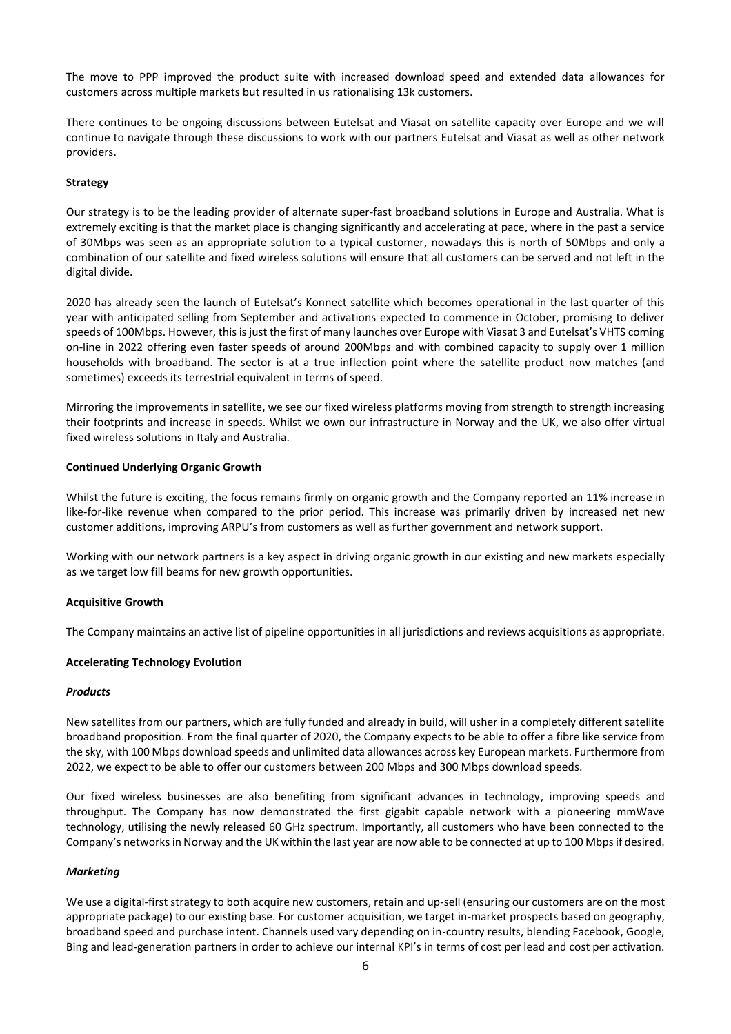The move to PPP improved the product suite with increased download speed and extended data allowances for customers across multiple markets but resulted in us rationalising 13k customers.

There continues to be ongoing discussions between Eutelsat and Viasat on satellite capacity over Europe and we will continue to navigate through these discussions to work with our partners Eutelsat and Viasat as well as other network providers.

## **Strategy**

Our strategy is to be the leading provider of alternate super-fast broadband solutions in Europe and Australia. What is extremely exciting is that the market place is changing significantly and accelerating at pace, where in the past a service of 30Mbps was seen as an appropriate solution to a typical customer, nowadays this is north of 50Mbps and only a combination of our satellite and fixed wireless solutions will ensure that all customers can be served and not left in the digital divide.

2020 has already seen the launch of Eutelsat's Konnect satellite which becomes operational in the last quarter of this year with anticipated selling from September and activations expected to commence in October, promising to deliver speeds of 100Mbps. However, this is just the first of many launches over Europe with Viasat 3 and Eutelsat's VHTS coming on-line in 2022 offering even faster speeds of around 200Mbps and with combined capacity to supply over 1 million households with broadband. The sector is at a true inflection point where the satellite product now matches (and sometimes) exceeds its terrestrial equivalent in terms of speed.

Mirroring the improvements in satellite, we see our fixed wireless platforms moving from strength to strength increasing their footprints and increase in speeds. Whilst we own our infrastructure in Norway and the UK, we also offer virtual fixed wireless solutions in Italy and Australia.

## **Continued Underlying Organic Growth**

Whilst the future is exciting, the focus remains firmly on organic growth and the Company reported an 11% increase in like-for-like revenue when compared to the prior period. This increase was primarily driven by increased net new customer additions, improving ARPU's from customers as well as further government and network support.

Working with our network partners is a key aspect in driving organic growth in our existing and new markets especially as we target low fill beams for new growth opportunities.

#### **Acquisitive Growth**

The Company maintains an active list of pipeline opportunities in all jurisdictions and reviews acquisitions as appropriate.

#### **Accelerating Technology Evolution**

#### *Products*

New satellites from our partners, which are fully funded and already in build, will usher in a completely different satellite broadband proposition. From the final quarter of 2020, the Company expects to be able to offer a fibre like service from the sky, with 100 Mbps download speeds and unlimited data allowances across key European markets. Furthermore from 2022, we expect to be able to offer our customers between 200 Mbps and 300 Mbps download speeds.

Our fixed wireless businesses are also benefiting from significant advances in technology, improving speeds and throughput. The Company has now demonstrated the first gigabit capable network with a pioneering mmWave technology, utilising the newly released 60 GHz spectrum. Importantly, all customers who have been connected to the Company's networks in Norway and the UK within the last year are now able to be connected at up to 100 Mbps if desired.

#### *Marketing*

We use a digital-first strategy to both acquire new customers, retain and up-sell (ensuring our customers are on the most appropriate package) to our existing base. For customer acquisition, we target in-market prospects based on geography, broadband speed and purchase intent. Channels used vary depending on in-country results, blending Facebook, Google, Bing and lead-generation partners in order to achieve our internal KPI's in terms of cost per lead and cost per activation.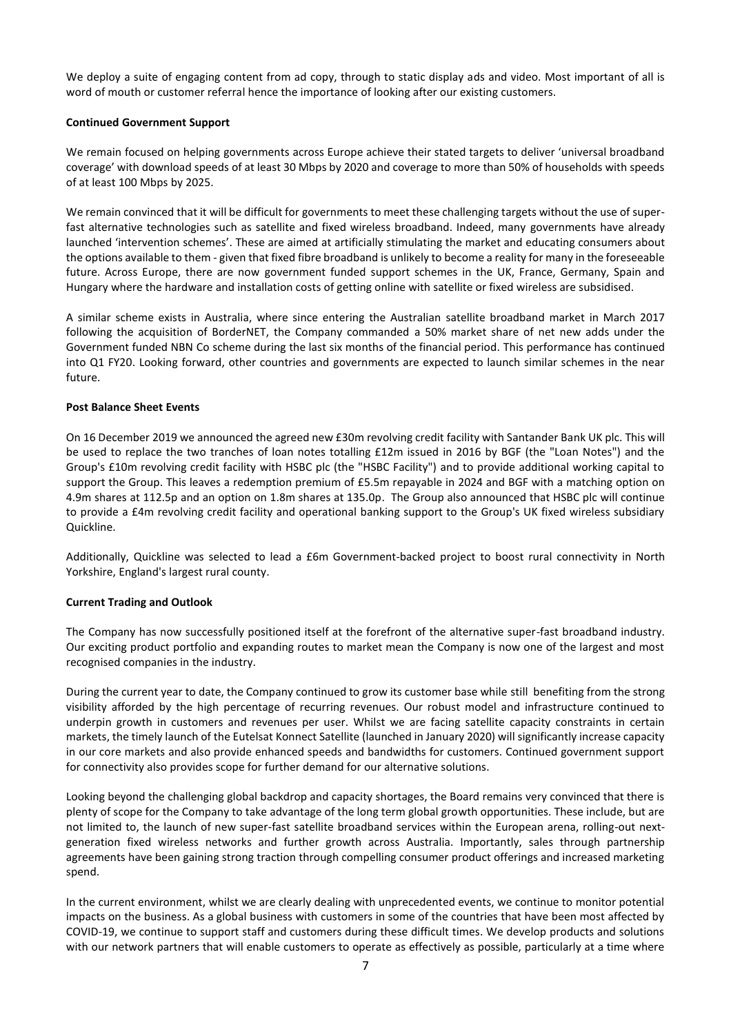We deploy a suite of engaging content from ad copy, through to static display ads and video. Most important of all is word of mouth or customer referral hence the importance of looking after our existing customers.

## **Continued Government Support**

We remain focused on helping governments across Europe achieve their stated targets to deliver 'universal broadband coverage' with download speeds of at least 30 Mbps by 2020 and coverage to more than 50% of households with speeds of at least 100 Mbps by 2025.

We remain convinced that it will be difficult for governments to meet these challenging targets without the use of superfast alternative technologies such as satellite and fixed wireless broadband. Indeed, many governments have already launched 'intervention schemes'. These are aimed at artificially stimulating the market and educating consumers about the options available to them - given that fixed fibre broadband is unlikely to become a reality for many in the foreseeable future. Across Europe, there are now government funded support schemes in the UK, France, Germany, Spain and Hungary where the hardware and installation costs of getting online with satellite or fixed wireless are subsidised.

A similar scheme exists in Australia, where since entering the Australian satellite broadband market in March 2017 following the acquisition of BorderNET, the Company commanded a 50% market share of net new adds under the Government funded NBN Co scheme during the last six months of the financial period. This performance has continued into Q1 FY20. Looking forward, other countries and governments are expected to launch similar schemes in the near future.

## **Post Balance Sheet Events**

On 16 December 2019 we announced the agreed new £30m revolving credit facility with Santander Bank UK plc. This will be used to replace the two tranches of loan notes totalling £12m issued in 2016 by BGF (the "Loan Notes") and the Group's £10m revolving credit facility with HSBC plc (the "HSBC Facility") and to provide additional working capital to support the Group. This leaves a redemption premium of £5.5m repayable in 2024 and BGF with a matching option on 4.9m shares at 112.5p and an option on 1.8m shares at 135.0p. The Group also announced that HSBC plc will continue to provide a £4m revolving credit facility and operational banking support to the Group's UK fixed wireless subsidiary Quickline.

Additionally, Quickline was selected to lead a £6m Government-backed project to boost rural connectivity in North Yorkshire, England's largest rural county.

## **Current Trading and Outlook**

The Company has now successfully positioned itself at the forefront of the alternative super-fast broadband industry. Our exciting product portfolio and expanding routes to market mean the Company is now one of the largest and most recognised companies in the industry.

During the current year to date, the Company continued to grow its customer base while still benefiting from the strong visibility afforded by the high percentage of recurring revenues. Our robust model and infrastructure continued to underpin growth in customers and revenues per user. Whilst we are facing satellite capacity constraints in certain markets, the timely launch of the Eutelsat Konnect Satellite (launched in January 2020) will significantly increase capacity in our core markets and also provide enhanced speeds and bandwidths for customers. Continued government support for connectivity also provides scope for further demand for our alternative solutions.

Looking beyond the challenging global backdrop and capacity shortages, the Board remains very convinced that there is plenty of scope for the Company to take advantage of the long term global growth opportunities. These include, but are not limited to, the launch of new super-fast satellite broadband services within the European arena, rolling-out nextgeneration fixed wireless networks and further growth across Australia. Importantly, sales through partnership agreements have been gaining strong traction through compelling consumer product offerings and increased marketing spend.

In the current environment, whilst we are clearly dealing with unprecedented events, we continue to monitor potential impacts on the business. As a global business with customers in some of the countries that have been most affected by COVID-19, we continue to support staff and customers during these difficult times. We develop products and solutions with our network partners that will enable customers to operate as effectively as possible, particularly at a time where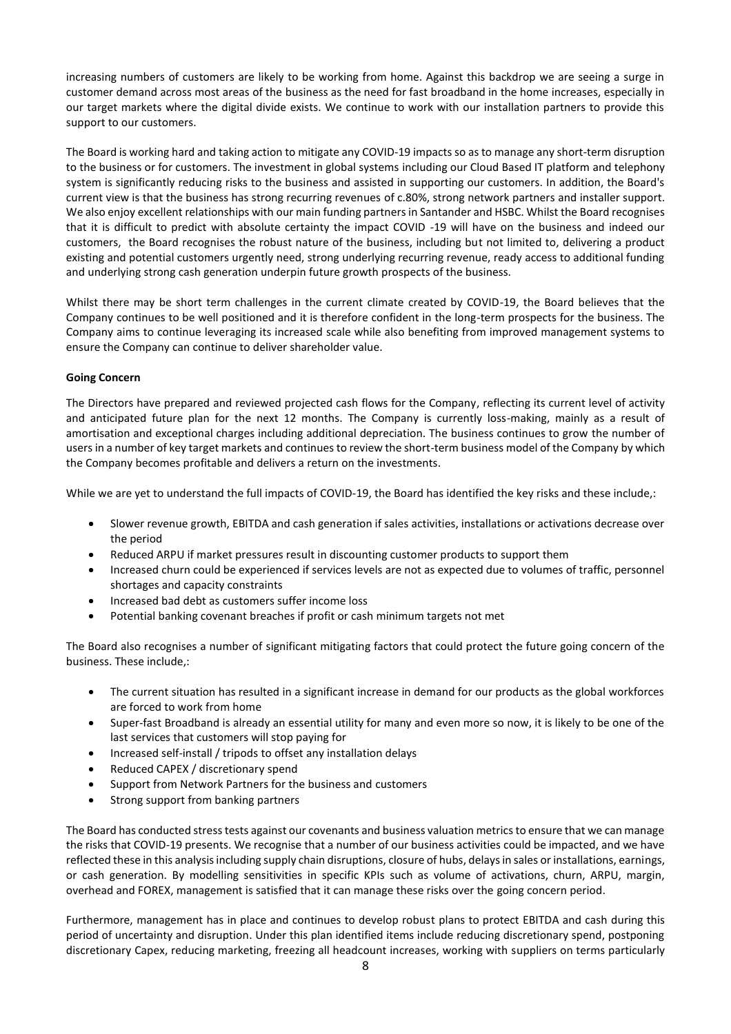increasing numbers of customers are likely to be working from home. Against this backdrop we are seeing a surge in customer demand across most areas of the business as the need for fast broadband in the home increases, especially in our target markets where the digital divide exists. We continue to work with our installation partners to provide this support to our customers.

The Board is working hard and taking action to mitigate any COVID-19 impacts so as to manage any short-term disruption to the business or for customers. The investment in global systems including our Cloud Based IT platform and telephony system is significantly reducing risks to the business and assisted in supporting our customers. In addition, the Board's current view is that the business has strong recurring revenues of c.80%, strong network partners and installer support. We also enjoy excellent relationships with our main funding partners in Santander and HSBC. Whilst the Board recognises that it is difficult to predict with absolute certainty the impact COVID -19 will have on the business and indeed our customers, the Board recognises the robust nature of the business, including but not limited to, delivering a product existing and potential customers urgently need, strong underlying recurring revenue, ready access to additional funding and underlying strong cash generation underpin future growth prospects of the business.

Whilst there may be short term challenges in the current climate created by COVID-19, the Board believes that the Company continues to be well positioned and it is therefore confident in the long-term prospects for the business. The Company aims to continue leveraging its increased scale while also benefiting from improved management systems to ensure the Company can continue to deliver shareholder value.

# **Going Concern**

The Directors have prepared and reviewed projected cash flows for the Company, reflecting its current level of activity and anticipated future plan for the next 12 months. The Company is currently loss-making, mainly as a result of amortisation and exceptional charges including additional depreciation. The business continues to grow the number of users in a number of key target markets and continues to review the short-term business model of the Company by which the Company becomes profitable and delivers a return on the investments.

While we are yet to understand the full impacts of COVID-19, the Board has identified the key risks and these include,:

- Slower revenue growth, EBITDA and cash generation if sales activities, installations or activations decrease over the period
- Reduced ARPU if market pressures result in discounting customer products to support them
- Increased churn could be experienced if services levels are not as expected due to volumes of traffic, personnel shortages and capacity constraints
- Increased bad debt as customers suffer income loss
- Potential banking covenant breaches if profit or cash minimum targets not met

The Board also recognises a number of significant mitigating factors that could protect the future going concern of the business. These include,:

- The current situation has resulted in a significant increase in demand for our products as the global workforces are forced to work from home
- Super-fast Broadband is already an essential utility for many and even more so now, it is likely to be one of the last services that customers will stop paying for
- Increased self-install / tripods to offset any installation delays
- Reduced CAPEX / discretionary spend
- Support from Network Partners for the business and customers
- Strong support from banking partners

The Board has conducted stress tests against our covenants and business valuation metrics to ensure that we can manage the risks that COVID-19 presents. We recognise that a number of our business activities could be impacted, and we have reflected these in this analysis including supply chain disruptions, closure of hubs, delays in sales or installations, earnings, or cash generation. By modelling sensitivities in specific KPIs such as volume of activations, churn, ARPU, margin, overhead and FOREX, management is satisfied that it can manage these risks over the going concern period.

Furthermore, management has in place and continues to develop robust plans to protect EBITDA and cash during this period of uncertainty and disruption. Under this plan identified items include reducing discretionary spend, postponing discretionary Capex, reducing marketing, freezing all headcount increases, working with suppliers on terms particularly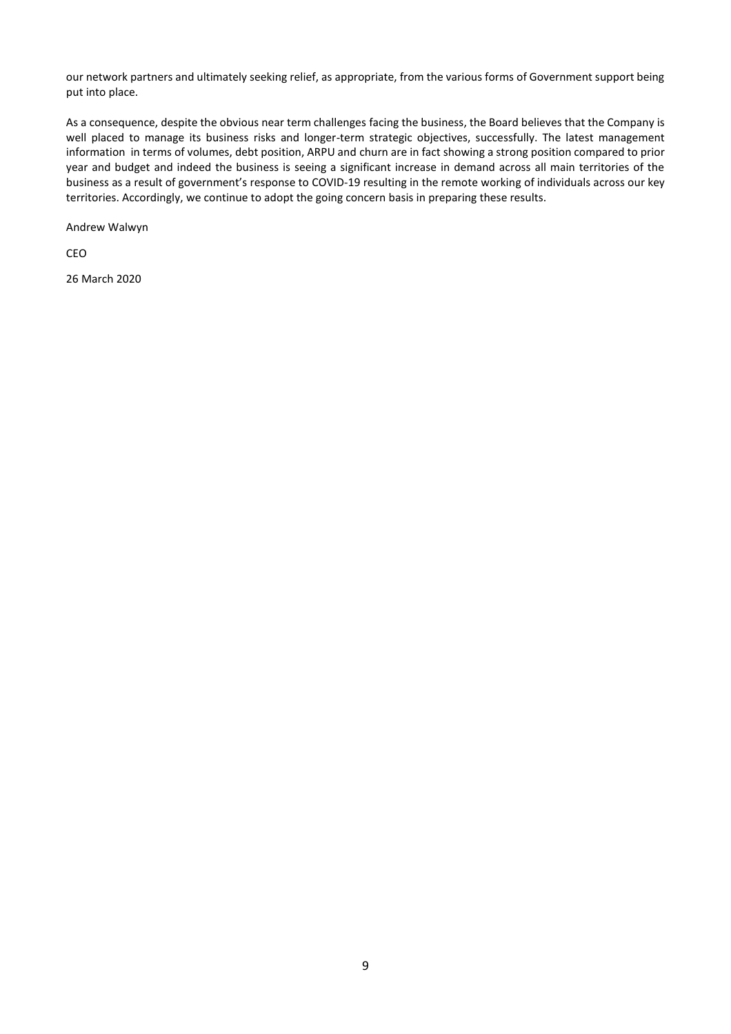our network partners and ultimately seeking relief, as appropriate, from the various forms of Government support being put into place.

As a consequence, despite the obvious near term challenges facing the business, the Board believes that the Company is well placed to manage its business risks and longer-term strategic objectives, successfully. The latest management information in terms of volumes, debt position, ARPU and churn are in fact showing a strong position compared to prior year and budget and indeed the business is seeing a significant increase in demand across all main territories of the business as a result of government's response to COVID-19 resulting in the remote working of individuals across our key territories. Accordingly, we continue to adopt the going concern basis in preparing these results.

Andrew Walwyn

CEO

26 March 2020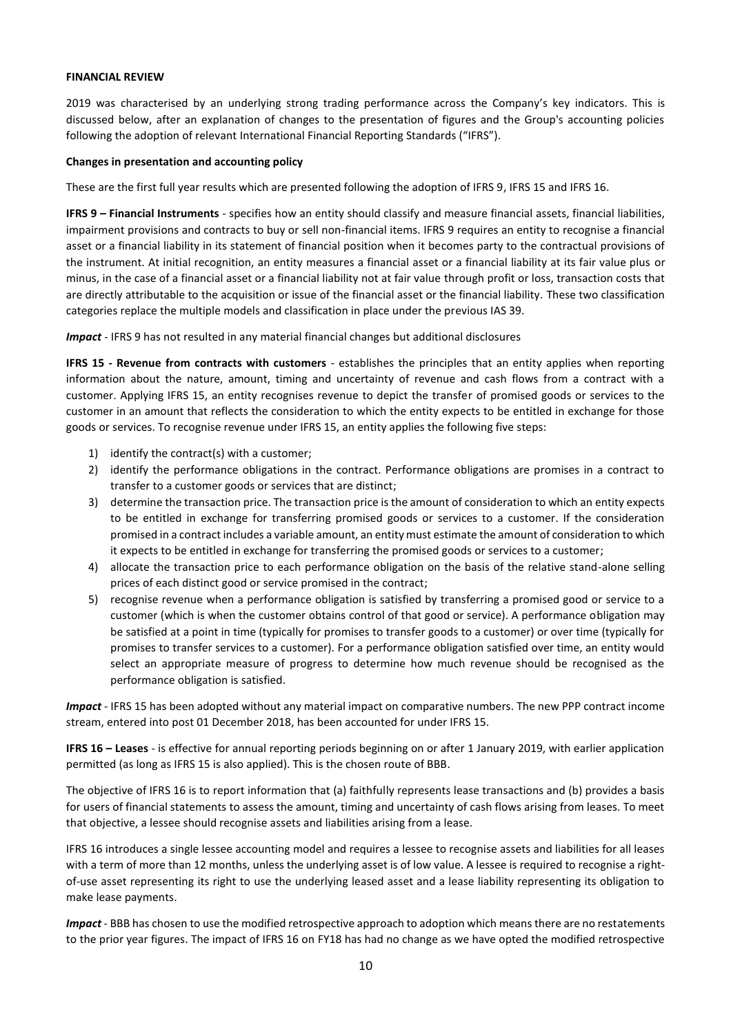## **FINANCIAL REVIEW**

2019 was characterised by an underlying strong trading performance across the Company's key indicators. This is discussed below, after an explanation of changes to the presentation of figures and the Group's accounting policies following the adoption of relevant International Financial Reporting Standards ("IFRS").

## **Changes in presentation and accounting policy**

These are the first full year results which are presented following the adoption of IFRS 9, IFRS 15 and IFRS 16.

**IFRS 9 – Financial Instruments** - specifies how an entity should classify and measure financial assets, financial liabilities, impairment provisions and contracts to buy or sell non-financial items. IFRS 9 requires an entity to recognise a financial asset or a financial liability in its statement of financial position when it becomes party to the contractual provisions of the instrument. At initial recognition, an entity measures a financial asset or a financial liability at its fair value plus or minus, in the case of a financial asset or a financial liability not at fair value through profit or loss, transaction costs that are directly attributable to the acquisition or issue of the financial asset or the financial liability. These two classification categories replace the multiple models and classification in place under the previous IAS 39.

*Impact* - IFRS 9 has not resulted in any material financial changes but additional disclosures

**IFRS 15 - Revenue from contracts with customers** - establishes the principles that an entity applies when reporting information about the nature, amount, timing and uncertainty of revenue and cash flows from a contract with a customer. Applying IFRS 15, an entity recognises revenue to depict the transfer of promised goods or services to the customer in an amount that reflects the consideration to which the entity expects to be entitled in exchange for those goods or services. To recognise revenue under IFRS 15, an entity applies the following five steps:

- 1) identify the contract(s) with a customer;
- 2) identify the performance obligations in the contract. Performance obligations are promises in a contract to transfer to a customer goods or services that are distinct;
- 3) determine the transaction price. The transaction price is the amount of consideration to which an entity expects to be entitled in exchange for transferring promised goods or services to a customer. If the consideration promised in a contract includes a variable amount, an entity must estimate the amount of consideration to which it expects to be entitled in exchange for transferring the promised goods or services to a customer;
- 4) allocate the transaction price to each performance obligation on the basis of the relative stand-alone selling prices of each distinct good or service promised in the contract;
- 5) recognise revenue when a performance obligation is satisfied by transferring a promised good or service to a customer (which is when the customer obtains control of that good or service). A performance obligation may be satisfied at a point in time (typically for promises to transfer goods to a customer) or over time (typically for promises to transfer services to a customer). For a performance obligation satisfied over time, an entity would select an appropriate measure of progress to determine how much revenue should be recognised as the performance obligation is satisfied.

*Impact* - IFRS 15 has been adopted without any material impact on comparative numbers. The new PPP contract income stream, entered into post 01 December 2018, has been accounted for under IFRS 15.

**IFRS 16 – Leases** - is effective for annual reporting periods beginning on or after 1 January 2019, with earlier application permitted (as long as IFRS 15 is also applied). This is the chosen route of BBB.

The objective of IFRS 16 is to report information that (a) faithfully represents lease transactions and (b) provides a basis for users of financial statements to assess the amount, timing and uncertainty of cash flows arising from leases. To meet that objective, a lessee should recognise assets and liabilities arising from a lease.

IFRS 16 introduces a single lessee accounting model and requires a lessee to recognise assets and liabilities for all leases with a term of more than 12 months, unless the underlying asset is of low value. A lessee is required to recognise a rightof-use asset representing its right to use the underlying leased asset and a lease liability representing its obligation to make lease payments.

*Impact* - BBB has chosen to use the modified retrospective approach to adoption which means there are no restatements to the prior year figures. The impact of IFRS 16 on FY18 has had no change as we have opted the modified retrospective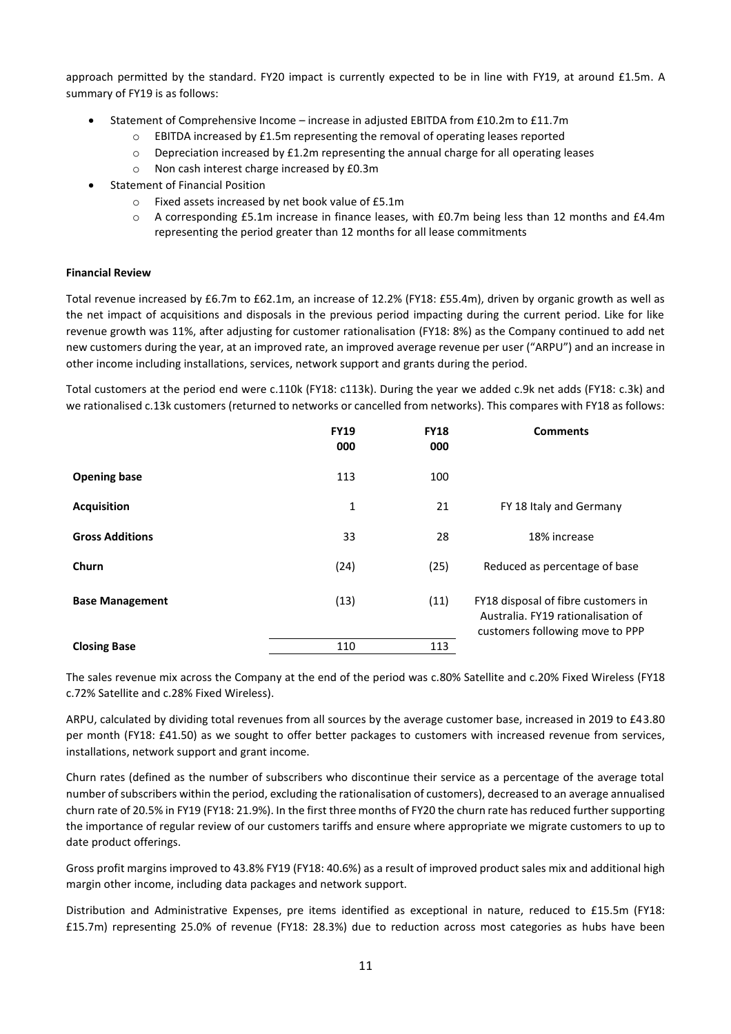approach permitted by the standard. FY20 impact is currently expected to be in line with FY19, at around £1.5m. A summary of FY19 is as follows:

- Statement of Comprehensive Income increase in adjusted EBITDA from £10.2m to £11.7m
	- o EBITDA increased by £1.5m representing the removal of operating leases reported
	- o Depreciation increased by £1.2m representing the annual charge for all operating leases
	- o Non cash interest charge increased by £0.3m
- Statement of Financial Position
	- o Fixed assets increased by net book value of £5.1m
	- o A corresponding £5.1m increase in finance leases, with £0.7m being less than 12 months and £4.4m representing the period greater than 12 months for all lease commitments

## **Financial Review**

Total revenue increased by £6.7m to £62.1m, an increase of 12.2% (FY18: £55.4m), driven by organic growth as well as the net impact of acquisitions and disposals in the previous period impacting during the current period. Like for like revenue growth was 11%, after adjusting for customer rationalisation (FY18: 8%) as the Company continued to add net new customers during the year, at an improved rate, an improved average revenue per user ("ARPU") and an increase in other income including installations, services, network support and grants during the period.

Total customers at the period end were c.110k (FY18: c113k). During the year we added c.9k net adds (FY18: c.3k) and we rationalised c.13k customers (returned to networks or cancelled from networks). This compares with FY18 as follows:

|                        | <b>FY19</b><br>000 | <b>FY18</b><br>000 | <b>Comments</b>                                                                                              |
|------------------------|--------------------|--------------------|--------------------------------------------------------------------------------------------------------------|
| <b>Opening base</b>    | 113                | 100                |                                                                                                              |
| <b>Acquisition</b>     | 1                  | 21                 | FY 18 Italy and Germany                                                                                      |
| <b>Gross Additions</b> | 33                 | 28                 | 18% increase                                                                                                 |
| Churn                  | (24)               | (25)               | Reduced as percentage of base                                                                                |
| <b>Base Management</b> | (13)               | (11)               | FY18 disposal of fibre customers in<br>Australia. FY19 rationalisation of<br>customers following move to PPP |
| <b>Closing Base</b>    | 110                | 113                |                                                                                                              |

The sales revenue mix across the Company at the end of the period was c.80% Satellite and c.20% Fixed Wireless (FY18 c.72% Satellite and c.28% Fixed Wireless).

ARPU, calculated by dividing total revenues from all sources by the average customer base, increased in 2019 to £43.80 per month (FY18: £41.50) as we sought to offer better packages to customers with increased revenue from services, installations, network support and grant income.

Churn rates (defined as the number of subscribers who discontinue their service as a percentage of the average total number of subscribers within the period, excluding the rationalisation of customers), decreased to an average annualised churn rate of 20.5% in FY19 (FY18: 21.9%). In the first three months of FY20 the churn rate has reduced further supporting the importance of regular review of our customers tariffs and ensure where appropriate we migrate customers to up to date product offerings.

Gross profit margins improved to 43.8% FY19 (FY18: 40.6%) as a result of improved product sales mix and additional high margin other income, including data packages and network support.

Distribution and Administrative Expenses, pre items identified as exceptional in nature, reduced to £15.5m (FY18: £15.7m) representing 25.0% of revenue (FY18: 28.3%) due to reduction across most categories as hubs have been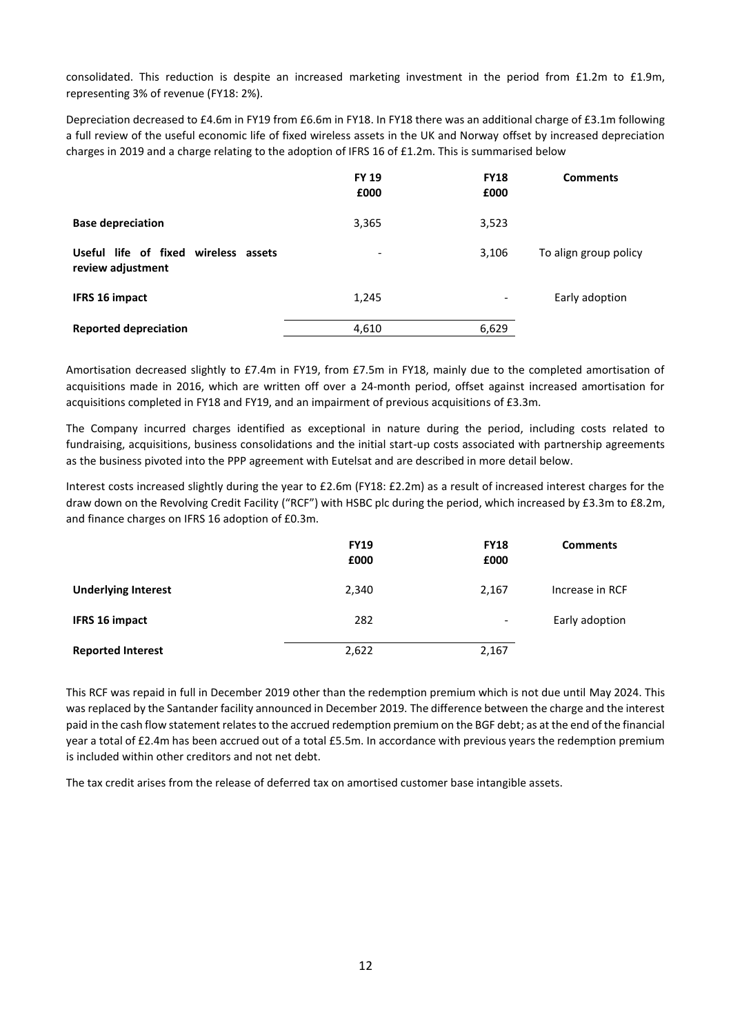consolidated. This reduction is despite an increased marketing investment in the period from £1.2m to £1.9m, representing 3% of revenue (FY18: 2%).

Depreciation decreased to £4.6m in FY19 from £6.6m in FY18. In FY18 there was an additional charge of £3.1m following a full review of the useful economic life of fixed wireless assets in the UK and Norway offset by increased depreciation charges in 2019 and a charge relating to the adoption of IFRS 16 of £1.2m. This is summarised below

|                                                           | <b>FY 19</b><br>£000     | <b>FY18</b><br>£000 | <b>Comments</b>       |
|-----------------------------------------------------------|--------------------------|---------------------|-----------------------|
| <b>Base depreciation</b>                                  | 3,365                    | 3,523               |                       |
| Useful life of fixed wireless assets<br>review adjustment | $\overline{\phantom{a}}$ | 3,106               | To align group policy |
| IFRS 16 impact                                            | 1,245                    | -                   | Early adoption        |
| <b>Reported depreciation</b>                              | 4,610                    | 6,629               |                       |

Amortisation decreased slightly to £7.4m in FY19, from £7.5m in FY18, mainly due to the completed amortisation of acquisitions made in 2016, which are written off over a 24-month period, offset against increased amortisation for acquisitions completed in FY18 and FY19, and an impairment of previous acquisitions of £3.3m.

The Company incurred charges identified as exceptional in nature during the period, including costs related to fundraising, acquisitions, business consolidations and the initial start-up costs associated with partnership agreements as the business pivoted into the PPP agreement with Eutelsat and are described in more detail below.

Interest costs increased slightly during the year to £2.6m (FY18: £2.2m) as a result of increased interest charges for the draw down on the Revolving Credit Facility ("RCF") with HSBC plc during the period, which increased by £3.3m to £8.2m, and finance charges on IFRS 16 adoption of £0.3m.

|                            | <b>FY19</b><br>£000 | <b>FY18</b><br>£000      | <b>Comments</b> |
|----------------------------|---------------------|--------------------------|-----------------|
| <b>Underlying Interest</b> | 2,340               | 2,167                    | Increase in RCF |
| <b>IFRS 16 impact</b>      | 282                 | $\overline{\phantom{0}}$ | Early adoption  |
| <b>Reported Interest</b>   | 2,622               | 2,167                    |                 |

This RCF was repaid in full in December 2019 other than the redemption premium which is not due until May 2024. This was replaced by the Santander facility announced in December 2019. The difference between the charge and the interest paid in the cash flow statement relates to the accrued redemption premium on the BGF debt; as at the end of the financial year a total of £2.4m has been accrued out of a total £5.5m. In accordance with previous years the redemption premium is included within other creditors and not net debt.

The tax credit arises from the release of deferred tax on amortised customer base intangible assets.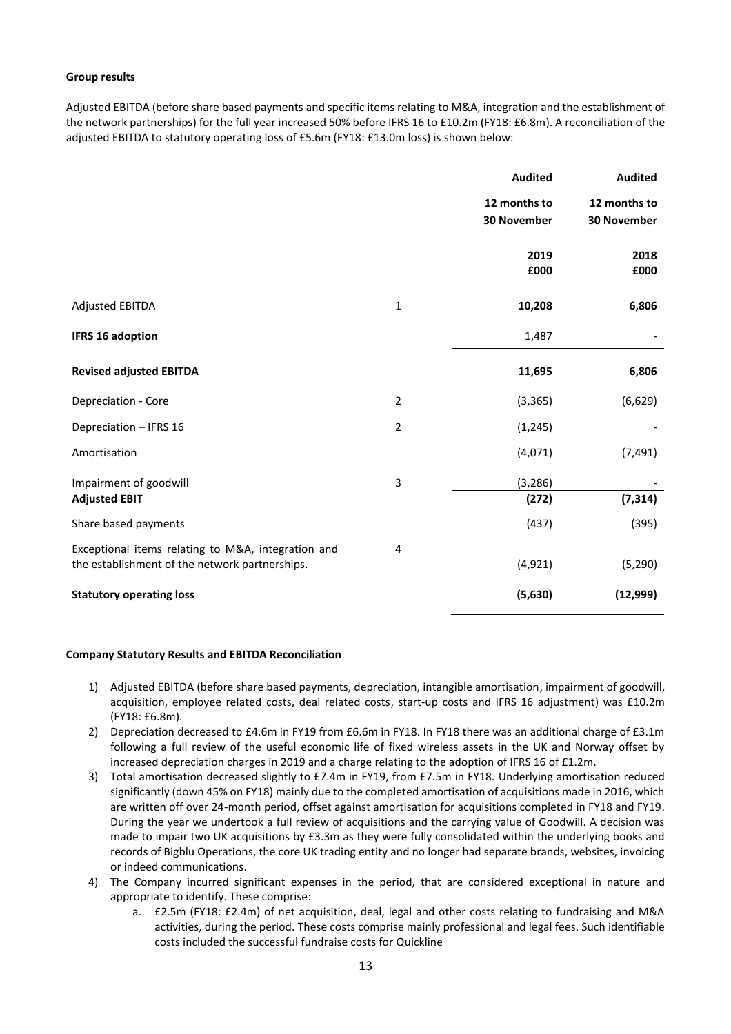## **Group results**

Adjusted EBITDA (before share based payments and specific items relating to M&A, integration and the establishment of the network partnerships) for the full year increased 50% before IFRS 16 to £10.2m (FY18: £6.8m). A reconciliation of the adjusted EBITDA to statutory operating loss of £5.6m (FY18: £13.0m loss) is shown below:

|                                                    |                | <b>Audited</b>     | <b>Audited</b> |
|----------------------------------------------------|----------------|--------------------|----------------|
|                                                    |                | 12 months to       | 12 months to   |
|                                                    |                | <b>30 November</b> | 30 November    |
|                                                    |                | 2019               | 2018           |
|                                                    |                | £000               | £000           |
| <b>Adjusted EBITDA</b>                             | $\mathbf{1}$   | 10,208             | 6,806          |
| <b>IFRS 16 adoption</b>                            |                | 1,487              |                |
| <b>Revised adjusted EBITDA</b>                     |                | 11,695             | 6,806          |
| Depreciation - Core                                | $\overline{2}$ | (3, 365)           | (6, 629)       |
| Depreciation - IFRS 16                             | $\overline{2}$ | (1, 245)           |                |
| Amortisation                                       |                | (4,071)            | (7, 491)       |
| Impairment of goodwill                             | 3              | (3, 286)           |                |
| <b>Adjusted EBIT</b>                               |                | (272)              | (7, 314)       |
| Share based payments                               |                | (437)              | (395)          |
| Exceptional items relating to M&A, integration and | $\overline{4}$ |                    |                |
| the establishment of the network partnerships.     |                | (4, 921)           | (5, 290)       |
| <b>Statutory operating loss</b>                    |                | (5,630)            | (12,999)       |

#### **Company Statutory Results and EBITDA Reconciliation**

- 1) Adjusted EBITDA (before share based payments, depreciation, intangible amortisation, impairment of goodwill, acquisition, employee related costs, deal related costs, start-up costs and IFRS 16 adjustment) was £10.2m (FY18: £6.8m).
- 2) Depreciation decreased to £4.6m in FY19 from £6.6m in FY18. In FY18 there was an additional charge of £3.1m following a full review of the useful economic life of fixed wireless assets in the UK and Norway offset by increased depreciation charges in 2019 and a charge relating to the adoption of IFRS 16 of £1.2m.
- 3) Total amortisation decreased slightly to £7.4m in FY19, from £7.5m in FY18. Underlying amortisation reduced significantly (down 45% on FY18) mainly due to the completed amortisation of acquisitions made in 2016, which are written off over 24-month period, offset against amortisation for acquisitions completed in FY18 and FY19. During the year we undertook a full review of acquisitions and the carrying value of Goodwill. A decision was made to impair two UK acquisitions by £3.3m as they were fully consolidated within the underlying books and records of Bigblu Operations, the core UK trading entity and no longer had separate brands, websites, invoicing or indeed communications.
- 4) The Company incurred significant expenses in the period, that are considered exceptional in nature and appropriate to identify. These comprise:
	- a. £2.5m (FY18: £2.4m) of net acquisition, deal, legal and other costs relating to fundraising and M&A activities, during the period. These costs comprise mainly professional and legal fees. Such identifiable costs included the successful fundraise costs for Quickline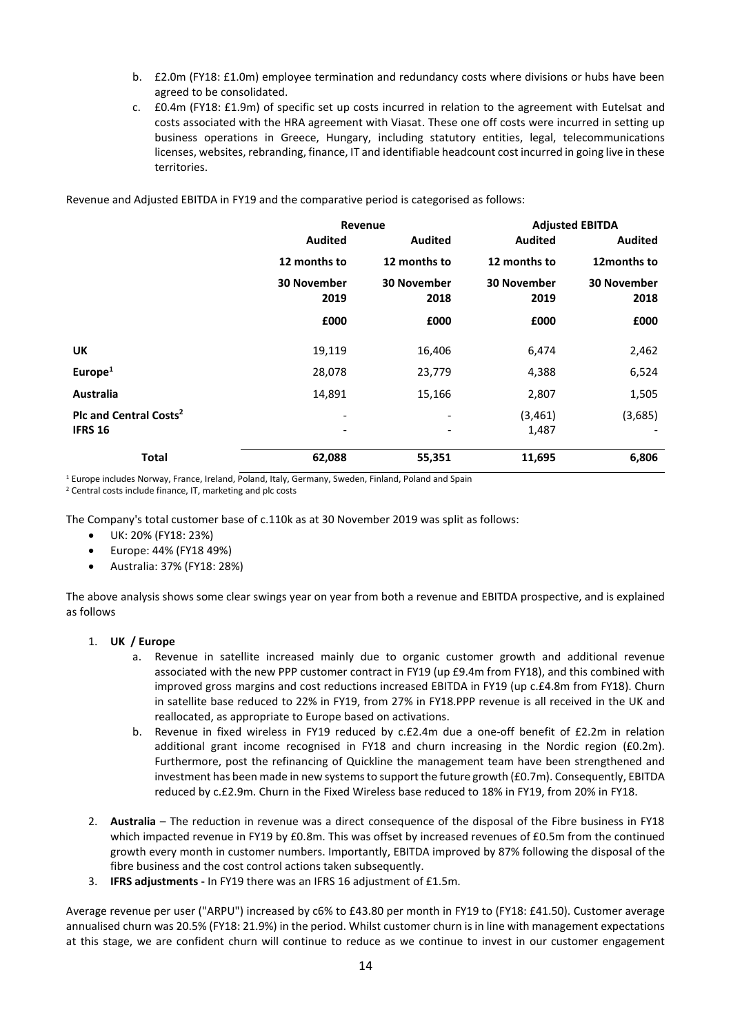- b. £2.0m (FY18: £1.0m) employee termination and redundancy costs where divisions or hubs have been agreed to be consolidated.
- c. £0.4m (FY18: £1.9m) of specific set up costs incurred in relation to the agreement with Eutelsat and costs associated with the HRA agreement with Viasat. These one off costs were incurred in setting up business operations in Greece, Hungary, including statutory entities, legal, telecommunications licenses, websites, rebranding, finance, IT and identifiable headcount cost incurred in going live in these territories.

Revenue and Adjusted EBITDA in FY19 and the comparative period is categorised as follows:

|                                                      | Revenue                    |                            |                            | <b>Adjusted EBITDA</b>     |
|------------------------------------------------------|----------------------------|----------------------------|----------------------------|----------------------------|
|                                                      | <b>Audited</b>             | <b>Audited</b>             | <b>Audited</b>             | <b>Audited</b>             |
|                                                      | 12 months to               | 12 months to               | 12 months to               | 12months to                |
|                                                      | <b>30 November</b><br>2019 | <b>30 November</b><br>2018 | <b>30 November</b><br>2019 | <b>30 November</b><br>2018 |
|                                                      | £000                       | £000                       | £000                       | £000                       |
| <b>UK</b>                                            | 19,119                     | 16,406                     | 6,474                      | 2,462                      |
| Europe $1$                                           | 28,078                     | 23,779                     | 4,388                      | 6,524                      |
| Australia                                            | 14,891                     | 15,166                     | 2,807                      | 1,505                      |
| Plc and Central Costs <sup>2</sup><br><b>IFRS 16</b> | $\overline{\phantom{a}}$   |                            | (3,461)<br>1,487           | (3,685)                    |
| <b>Total</b>                                         | 62,088                     | 55,351                     | 11,695                     | 6,806                      |

<sup>1</sup> Europe includes Norway, France, Ireland, Poland, Italy, Germany, Sweden, Finland, Poland and Spain

<sup>2</sup> Central costs include finance, IT, marketing and plc costs

The Company's total customer base of c.110k as at 30 November 2019 was split as follows:

- UK: 20% (FY18: 23%)
- Europe: 44% (FY18 49%)
- Australia: 37% (FY18: 28%)

The above analysis shows some clear swings year on year from both a revenue and EBITDA prospective, and is explained as follows

#### 1. **UK / Europe**

- a. Revenue in satellite increased mainly due to organic customer growth and additional revenue associated with the new PPP customer contract in FY19 (up £9.4m from FY18), and this combined with improved gross margins and cost reductions increased EBITDA in FY19 (up c.£4.8m from FY18). Churn in satellite base reduced to 22% in FY19, from 27% in FY18.PPP revenue is all received in the UK and reallocated, as appropriate to Europe based on activations.
- b. Revenue in fixed wireless in FY19 reduced by c.£2.4m due a one-off benefit of £2.2m in relation additional grant income recognised in FY18 and churn increasing in the Nordic region (£0.2m). Furthermore, post the refinancing of Quickline the management team have been strengthened and investment has been made in new systemsto support the future growth (£0.7m). Consequently, EBITDA reduced by c.£2.9m. Churn in the Fixed Wireless base reduced to 18% in FY19, from 20% in FY18.
- 2. **Australia**  The reduction in revenue was a direct consequence of the disposal of the Fibre business in FY18 which impacted revenue in FY19 by £0.8m. This was offset by increased revenues of £0.5m from the continued growth every month in customer numbers. Importantly, EBITDA improved by 87% following the disposal of the fibre business and the cost control actions taken subsequently.
- 3. **IFRS adjustments -** In FY19 there was an IFRS 16 adjustment of £1.5m.

Average revenue per user ("ARPU") increased by c6% to £43.80 per month in FY19 to (FY18: £41.50). Customer average annualised churn was 20.5% (FY18: 21.9%) in the period. Whilst customer churn is in line with management expectations at this stage, we are confident churn will continue to reduce as we continue to invest in our customer engagement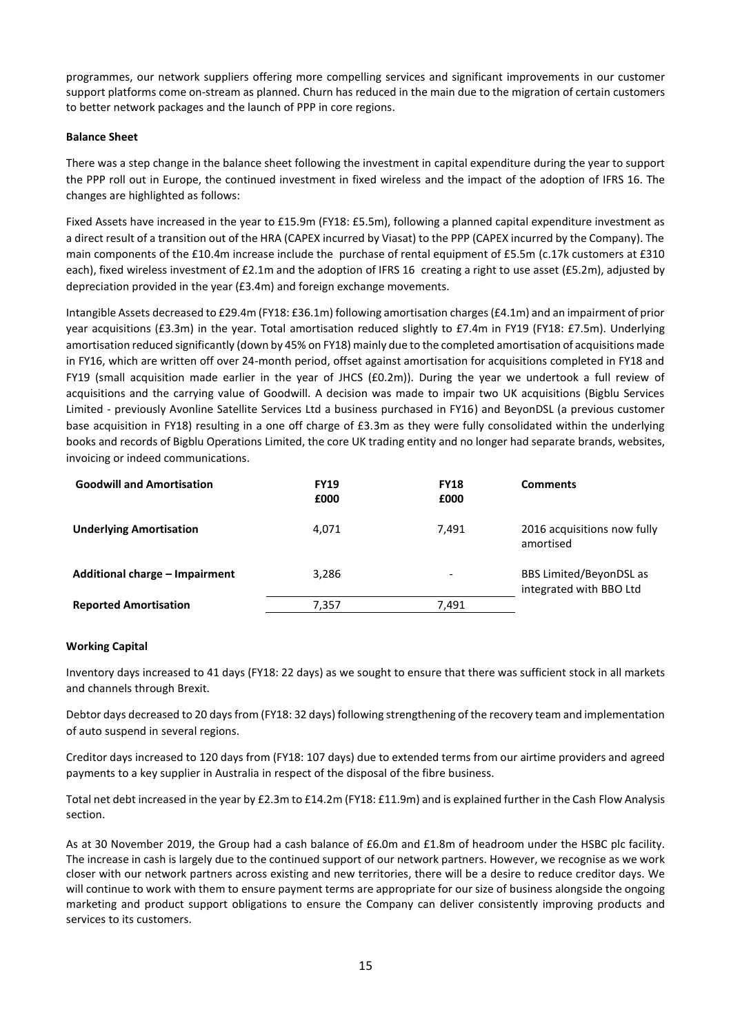programmes, our network suppliers offering more compelling services and significant improvements in our customer support platforms come on-stream as planned. Churn has reduced in the main due to the migration of certain customers to better network packages and the launch of PPP in core regions.

## **Balance Sheet**

There was a step change in the balance sheet following the investment in capital expenditure during the year to support the PPP roll out in Europe, the continued investment in fixed wireless and the impact of the adoption of IFRS 16. The changes are highlighted as follows:

Fixed Assets have increased in the year to £15.9m (FY18: £5.5m), following a planned capital expenditure investment as a direct result of a transition out of the HRA (CAPEX incurred by Viasat) to the PPP (CAPEX incurred by the Company). The main components of the £10.4m increase include the purchase of rental equipment of £5.5m (c.17k customers at £310 each), fixed wireless investment of £2.1m and the adoption of IFRS 16 creating a right to use asset (£5.2m), adjusted by depreciation provided in the year (£3.4m) and foreign exchange movements.

Intangible Assets decreased to £29.4m (FY18: £36.1m) following amortisation charges (£4.1m) and an impairment of prior year acquisitions (£3.3m) in the year. Total amortisation reduced slightly to £7.4m in FY19 (FY18: £7.5m). Underlying amortisation reduced significantly (down by 45% on FY18) mainly due to the completed amortisation of acquisitions made in FY16, which are written off over 24-month period, offset against amortisation for acquisitions completed in FY18 and FY19 (small acquisition made earlier in the year of JHCS (£0.2m)). During the year we undertook a full review of acquisitions and the carrying value of Goodwill. A decision was made to impair two UK acquisitions (Bigblu Services Limited - previously Avonline Satellite Services Ltd a business purchased in FY16) and BeyonDSL (a previous customer base acquisition in FY18) resulting in a one off charge of £3.3m as they were fully consolidated within the underlying books and records of Bigblu Operations Limited, the core UK trading entity and no longer had separate brands, websites, invoicing or indeed communications.

| <b>Goodwill and Amortisation</b> | <b>FY19</b><br>£000 | <b>FY18</b><br>£000 | <b>Comments</b>                                    |
|----------------------------------|---------------------|---------------------|----------------------------------------------------|
| <b>Underlying Amortisation</b>   | 4.071               | 7.491               | 2016 acquisitions now fully<br>amortised           |
| Additional charge - Impairment   | 3.286               | $\qquad \qquad$     | BBS Limited/BeyonDSL as<br>integrated with BBO Ltd |
| <b>Reported Amortisation</b>     | 7,357               | 7.491               |                                                    |

## **Working Capital**

Inventory days increased to 41 days (FY18: 22 days) as we sought to ensure that there was sufficient stock in all markets and channels through Brexit.

Debtor days decreased to 20 days from (FY18: 32 days) following strengthening of the recovery team and implementation of auto suspend in several regions.

Creditor days increased to 120 days from (FY18: 107 days) due to extended terms from our airtime providers and agreed payments to a key supplier in Australia in respect of the disposal of the fibre business.

Total net debt increased in the year by £2.3m to £14.2m (FY18: £11.9m) and is explained further in the Cash Flow Analysis section.

As at 30 November 2019, the Group had a cash balance of £6.0m and £1.8m of headroom under the HSBC plc facility. The increase in cash is largely due to the continued support of our network partners. However, we recognise as we work closer with our network partners across existing and new territories, there will be a desire to reduce creditor days. We will continue to work with them to ensure payment terms are appropriate for our size of business alongside the ongoing marketing and product support obligations to ensure the Company can deliver consistently improving products and services to its customers.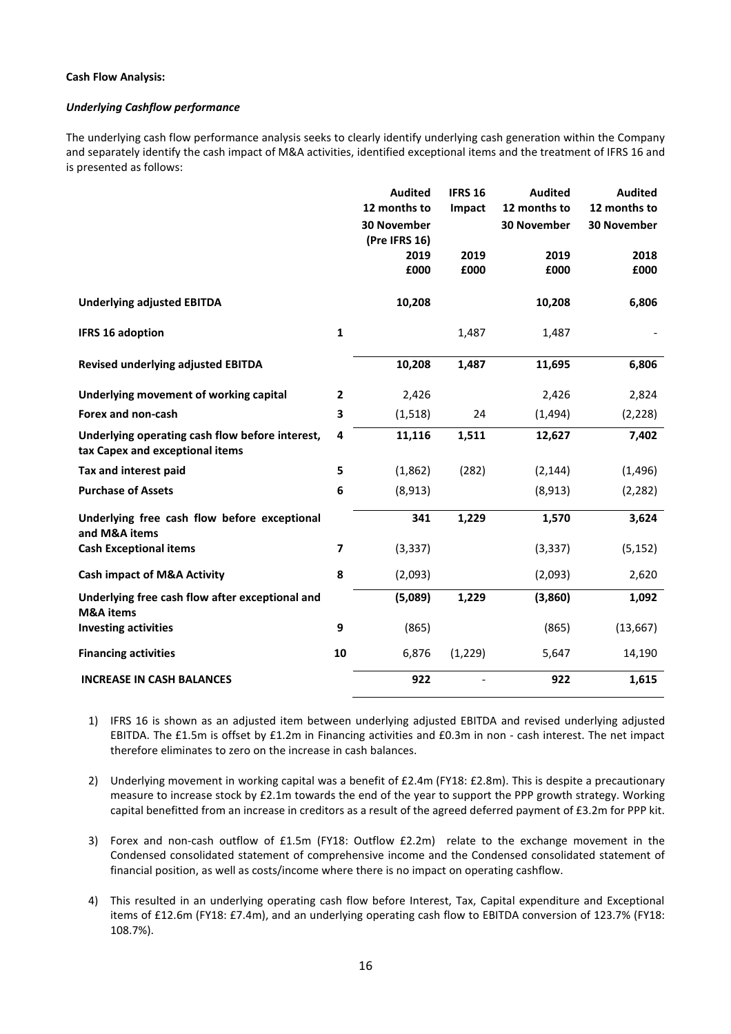## **Cash Flow Analysis:**

## *Underlying Cashflow performance*

The underlying cash flow performance analysis seeks to clearly identify underlying cash generation within the Company and separately identify the cash impact of M&A activities, identified exceptional items and the treatment of IFRS 16 and is presented as follows:

|                                                                                    |                | <b>Audited</b><br>12 months to | <b>IFRS 16</b><br>Impact | <b>Audited</b><br>12 months to | <b>Audited</b><br>12 months to |
|------------------------------------------------------------------------------------|----------------|--------------------------------|--------------------------|--------------------------------|--------------------------------|
|                                                                                    |                | 30 November<br>(Pre IFRS 16)   |                          | 30 November                    | 30 November                    |
|                                                                                    |                | 2019<br>£000                   | 2019<br>£000             | 2019<br>£000                   | 2018<br>£000                   |
| <b>Underlying adjusted EBITDA</b>                                                  |                | 10,208                         |                          | 10,208                         | 6,806                          |
| <b>IFRS 16 adoption</b>                                                            | $\mathbf{1}$   |                                | 1,487                    | 1,487                          |                                |
| <b>Revised underlying adjusted EBITDA</b>                                          |                | 10,208                         | 1,487                    | 11,695                         | 6,806                          |
| Underlying movement of working capital                                             | $\overline{2}$ | 2,426                          |                          | 2,426                          | 2,824                          |
| Forex and non-cash                                                                 | 3              | (1, 518)                       | 24                       | (1, 494)                       | (2, 228)                       |
| Underlying operating cash flow before interest,<br>tax Capex and exceptional items | 4              | 11,116                         | 1,511                    | 12,627                         | 7,402                          |
| Tax and interest paid                                                              | 5              | (1,862)                        | (282)                    | (2, 144)                       | (1, 496)                       |
| <b>Purchase of Assets</b>                                                          | 6              | (8,913)                        |                          | (8,913)                        | (2, 282)                       |
| Underlying free cash flow before exceptional<br>and M&A items                      |                | 341                            | 1,229                    | 1,570                          | 3,624                          |
| <b>Cash Exceptional items</b>                                                      | 7              | (3, 337)                       |                          | (3, 337)                       | (5, 152)                       |
| <b>Cash impact of M&amp;A Activity</b>                                             | 8              | (2,093)                        |                          | (2,093)                        | 2,620                          |
| Underlying free cash flow after exceptional and<br><b>M&amp;A</b> items            |                | (5,089)                        | 1,229                    | (3,860)                        | 1,092                          |
| <b>Investing activities</b>                                                        | 9              | (865)                          |                          | (865)                          | (13, 667)                      |
| <b>Financing activities</b>                                                        | 10             | 6,876                          | (1, 229)                 | 5,647                          | 14,190                         |
| <b>INCREASE IN CASH BALANCES</b>                                                   |                | 922                            |                          | 922                            | 1,615                          |

- 1) IFRS 16 is shown as an adjusted item between underlying adjusted EBITDA and revised underlying adjusted EBITDA. The £1.5m is offset by £1.2m in Financing activities and £0.3m in non - cash interest. The net impact therefore eliminates to zero on the increase in cash balances.
- 2) Underlying movement in working capital was a benefit of £2.4m (FY18: £2.8m). This is despite a precautionary measure to increase stock by £2.1m towards the end of the year to support the PPP growth strategy. Working capital benefitted from an increase in creditors as a result of the agreed deferred payment of £3.2m for PPP kit.
- 3) Forex and non-cash outflow of £1.5m (FY18: Outflow £2.2m) relate to the exchange movement in the Condensed consolidated statement of comprehensive income and the Condensed consolidated statement of financial position, as well as costs/income where there is no impact on operating cashflow.
- 4) This resulted in an underlying operating cash flow before Interest, Tax, Capital expenditure and Exceptional items of £12.6m (FY18: £7.4m), and an underlying operating cash flow to EBITDA conversion of 123.7% (FY18: 108.7%).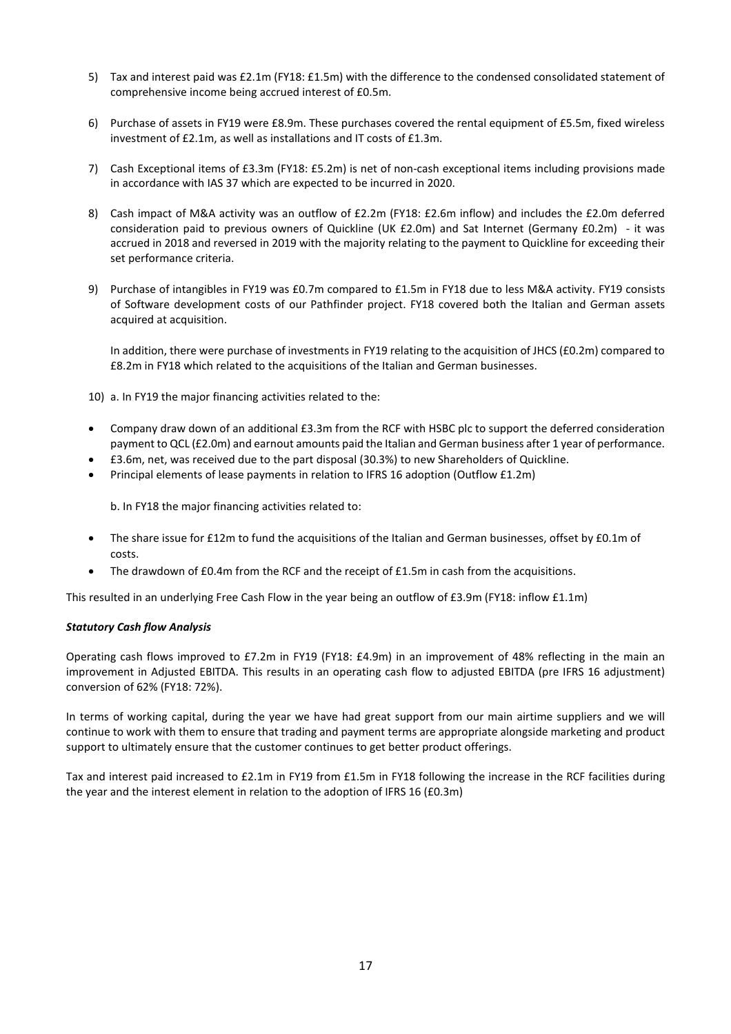- 5) Tax and interest paid was £2.1m (FY18: £1.5m) with the difference to the condensed consolidated statement of comprehensive income being accrued interest of £0.5m.
- 6) Purchase of assets in FY19 were £8.9m. These purchases covered the rental equipment of £5.5m, fixed wireless investment of £2.1m, as well as installations and IT costs of £1.3m.
- 7) Cash Exceptional items of £3.3m (FY18: £5.2m) is net of non-cash exceptional items including provisions made in accordance with IAS 37 which are expected to be incurred in 2020.
- 8) Cash impact of M&A activity was an outflow of £2.2m (FY18: £2.6m inflow) and includes the £2.0m deferred consideration paid to previous owners of Quickline (UK £2.0m) and Sat Internet (Germany £0.2m) - it was accrued in 2018 and reversed in 2019 with the majority relating to the payment to Quickline for exceeding their set performance criteria.
- 9) Purchase of intangibles in FY19 was £0.7m compared to £1.5m in FY18 due to less M&A activity. FY19 consists of Software development costs of our Pathfinder project. FY18 covered both the Italian and German assets acquired at acquisition.

In addition, there were purchase of investments in FY19 relating to the acquisition of JHCS (£0.2m) compared to £8.2m in FY18 which related to the acquisitions of the Italian and German businesses.

10) a. In FY19 the major financing activities related to the:

- Company draw down of an additional £3.3m from the RCF with HSBC plc to support the deferred consideration payment to QCL (£2.0m) and earnout amounts paid the Italian and German business after 1 year of performance.
- £3.6m, net, was received due to the part disposal (30.3%) to new Shareholders of Quickline.
- Principal elements of lease payments in relation to IFRS 16 adoption (Outflow £1.2m)

b. In FY18 the major financing activities related to:

- The share issue for £12m to fund the acquisitions of the Italian and German businesses, offset by £0.1m of costs.
- The drawdown of  $E0.4$ m from the RCF and the receipt of  $E1.5$ m in cash from the acquisitions.

This resulted in an underlying Free Cash Flow in the year being an outflow of £3.9m (FY18: inflow £1.1m)

## *Statutory Cash flow Analysis*

Operating cash flows improved to £7.2m in FY19 (FY18: £4.9m) in an improvement of 48% reflecting in the main an improvement in Adjusted EBITDA. This results in an operating cash flow to adjusted EBITDA (pre IFRS 16 adjustment) conversion of 62% (FY18: 72%).

In terms of working capital, during the year we have had great support from our main airtime suppliers and we will continue to work with them to ensure that trading and payment terms are appropriate alongside marketing and product support to ultimately ensure that the customer continues to get better product offerings.

Tax and interest paid increased to £2.1m in FY19 from £1.5m in FY18 following the increase in the RCF facilities during the year and the interest element in relation to the adoption of IFRS 16 (£0.3m)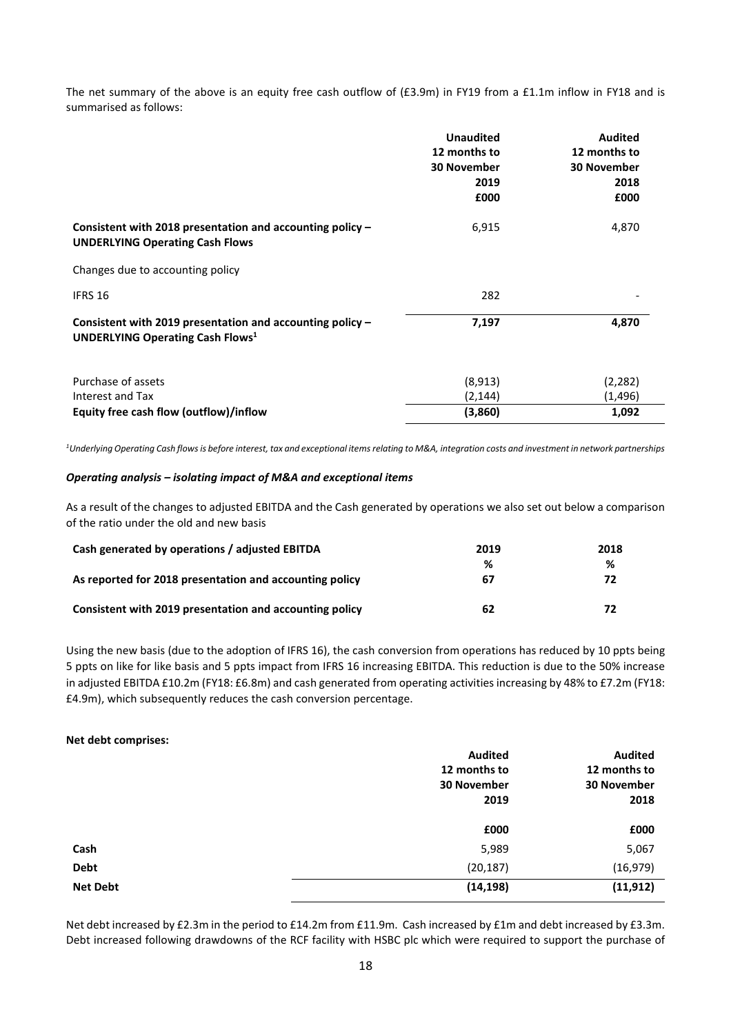The net summary of the above is an equity free cash outflow of (£3.9m) in FY19 from a £1.1m inflow in FY18 and is summarised as follows:

|                                                                                                                  | <b>Unaudited</b><br>12 months to<br><b>30 November</b><br>2019<br>£000 | <b>Audited</b><br>12 months to<br><b>30 November</b><br>2018<br>£000 |
|------------------------------------------------------------------------------------------------------------------|------------------------------------------------------------------------|----------------------------------------------------------------------|
| Consistent with 2018 presentation and accounting policy -<br><b>UNDERLYING Operating Cash Flows</b>              | 6,915                                                                  | 4,870                                                                |
| Changes due to accounting policy                                                                                 |                                                                        |                                                                      |
| IFRS 16                                                                                                          | 282                                                                    |                                                                      |
| Consistent with 2019 presentation and accounting policy -<br><b>UNDERLYING Operating Cash Flows</b> <sup>1</sup> | 7,197                                                                  | 4,870                                                                |
| Purchase of assets<br>Interest and Tax                                                                           | (8,913)<br>(2, 144)                                                    | (2,282)<br>(1,496)                                                   |
| Equity free cash flow (outflow)/inflow                                                                           | (3,860)                                                                | 1,092                                                                |

*<sup>1</sup>Underlying Operating Cash flowsis before interest, tax and exceptional items relating to M&A, integration costs and investment in network partnerships*

## *Operating analysis – isolating impact of M&A and exceptional items*

As a result of the changes to adjusted EBITDA and the Cash generated by operations we also set out below a comparison of the ratio under the old and new basis

| Cash generated by operations / adjusted EBITDA          | 2019 | 2018 |
|---------------------------------------------------------|------|------|
|                                                         | %    | %    |
| As reported for 2018 presentation and accounting policy | 67   |      |
| Consistent with 2019 presentation and accounting policy | 62   |      |

Using the new basis (due to the adoption of IFRS 16), the cash conversion from operations has reduced by 10 ppts being 5 ppts on like for like basis and 5 ppts impact from IFRS 16 increasing EBITDA. This reduction is due to the 50% increase in adjusted EBITDA £10.2m (FY18: £6.8m) and cash generated from operating activities increasing by 48% to £7.2m (FY18: £4.9m), which subsequently reduces the cash conversion percentage.

#### **Net debt comprises:**

|                 | <b>Audited</b> | <b>Audited</b> |
|-----------------|----------------|----------------|
|                 | 12 months to   | 12 months to   |
|                 | 30 November    | 30 November    |
|                 | 2019           | 2018           |
|                 | £000           | £000           |
| Cash            | 5,989          | 5,067          |
| <b>Debt</b>     | (20, 187)      | (16, 979)      |
| <b>Net Debt</b> | (14, 198)      | (11, 912)      |

Net debt increased by £2.3m in the period to £14.2m from £11.9m. Cash increased by £1m and debt increased by £3.3m. Debt increased following drawdowns of the RCF facility with HSBC plc which were required to support the purchase of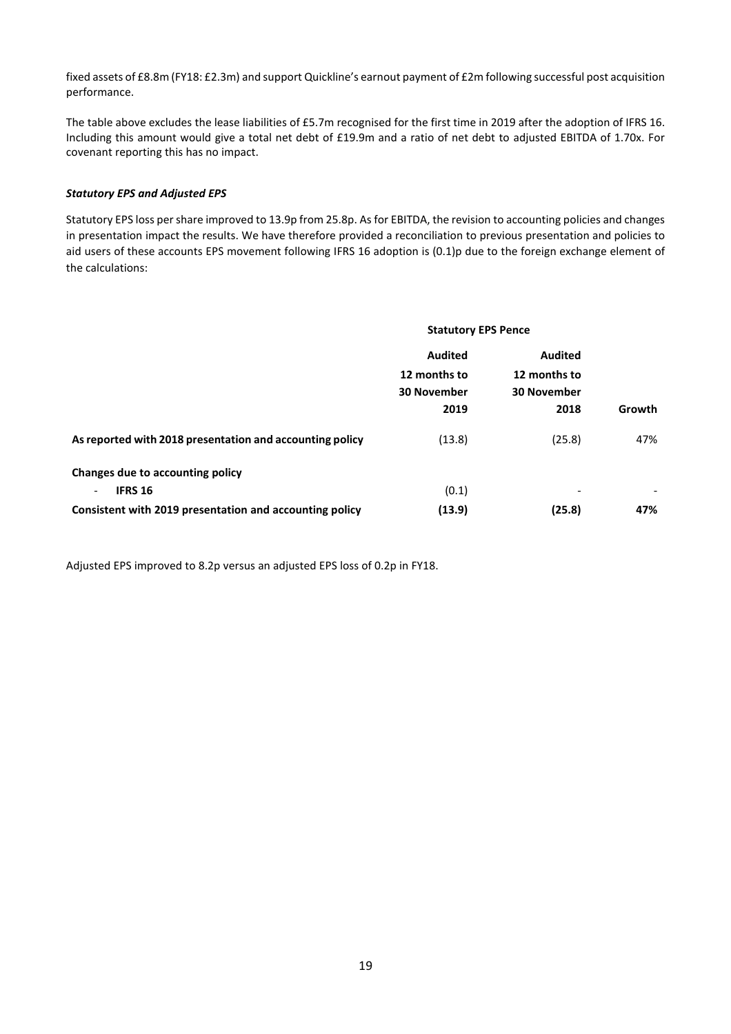fixed assets of £8.8m (FY18: £2.3m) and support Quickline's earnout payment of £2m following successful post acquisition performance.

The table above excludes the lease liabilities of £5.7m recognised for the first time in 2019 after the adoption of IFRS 16. Including this amount would give a total net debt of £19.9m and a ratio of net debt to adjusted EBITDA of 1.70x. For covenant reporting this has no impact.

## *Statutory EPS and Adjusted EPS*

Statutory EPS loss pershare improved to 13.9p from 25.8p. As for EBITDA, the revision to accounting policies and changes in presentation impact the results. We have therefore provided a reconciliation to previous presentation and policies to aid users of these accounts EPS movement following IFRS 16 adoption is (0.1)p due to the foreign exchange element of the calculations:

|                                                          | <b>Statutory EPS Pence</b> |                          |               |
|----------------------------------------------------------|----------------------------|--------------------------|---------------|
|                                                          | <b>Audited</b>             | <b>Audited</b>           |               |
|                                                          | 12 months to               | 12 months to             |               |
|                                                          | <b>30 November</b>         | <b>30 November</b>       |               |
|                                                          | 2019                       | 2018                     | <b>Growth</b> |
| As reported with 2018 presentation and accounting policy | (13.8)                     | (25.8)                   | 47%           |
| Changes due to accounting policy                         |                            |                          |               |
| <b>IFRS 16</b><br>$\overline{\phantom{a}}$               | (0.1)                      | $\overline{\phantom{a}}$ |               |
| Consistent with 2019 presentation and accounting policy  | (13.9)                     | (25.8)                   | 47%           |

Adjusted EPS improved to 8.2p versus an adjusted EPS loss of 0.2p in FY18.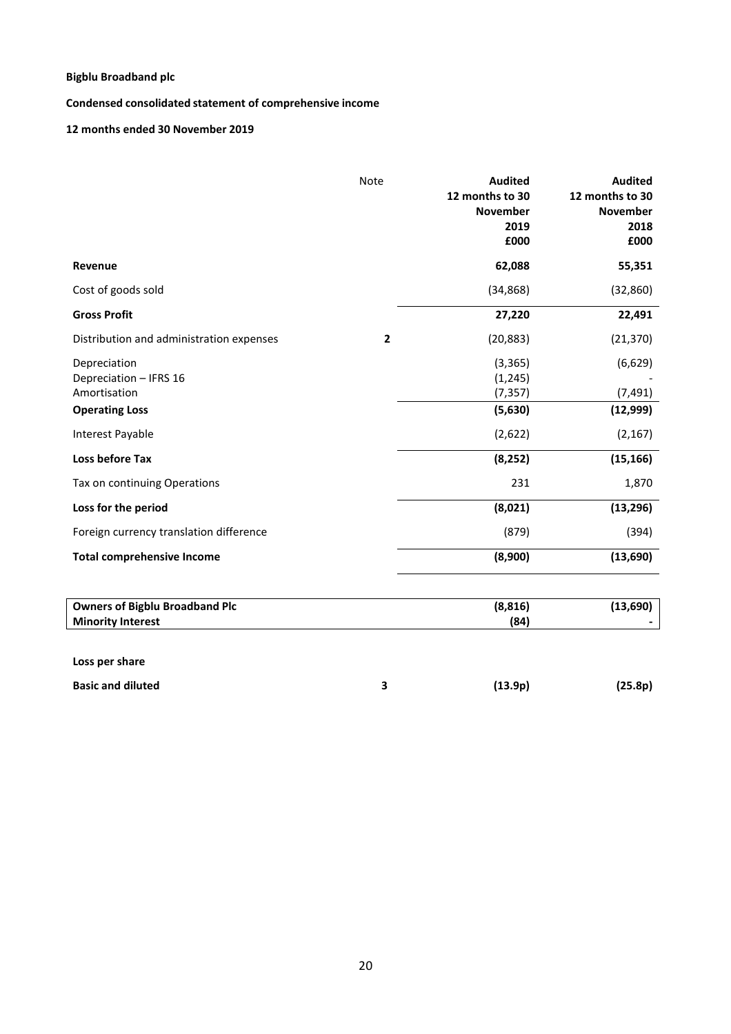**Condensed consolidated statement of comprehensive income**

**12 months ended 30 November 2019**

|                                                                                 | Note | <b>Audited</b><br>12 months to 30<br><b>November</b><br>2019<br>£000 | <b>Audited</b><br>12 months to 30<br><b>November</b><br>2018<br>£000 |
|---------------------------------------------------------------------------------|------|----------------------------------------------------------------------|----------------------------------------------------------------------|
| Revenue                                                                         |      | 62,088                                                               | 55,351                                                               |
| Cost of goods sold                                                              |      | (34, 868)                                                            | (32, 860)                                                            |
| <b>Gross Profit</b>                                                             |      | 27,220                                                               | 22,491                                                               |
| Distribution and administration expenses                                        | 2    | (20, 883)                                                            | (21, 370)                                                            |
| Depreciation<br>Depreciation - IFRS 16<br>Amortisation<br><b>Operating Loss</b> |      | (3, 365)<br>(1, 245)<br>(7, 357)<br>(5,630)                          | (6,629)<br>(7, 491)<br>(12,999)                                      |
| Interest Payable                                                                |      | (2,622)                                                              | (2, 167)                                                             |
| <b>Loss before Tax</b>                                                          |      | (8, 252)                                                             | (15, 166)                                                            |
| Tax on continuing Operations                                                    |      | 231                                                                  | 1,870                                                                |
| Loss for the period                                                             |      | (8,021)                                                              | (13, 296)                                                            |
| Foreign currency translation difference                                         |      | (879)                                                                | (394)                                                                |
| <b>Total comprehensive Income</b>                                               |      | (8,900)                                                              | (13,690)                                                             |
| <b>Owners of Bigblu Broadband Plc</b><br><b>Minority Interest</b>               |      | (8, 816)<br>(84)                                                     | (13,690)                                                             |

**Loss per share**

 $\overline{\mathsf{I}}$  $\begin{array}{c} \end{array}$ 

**Basic and diluted 3 (13.9p) (25.8p)**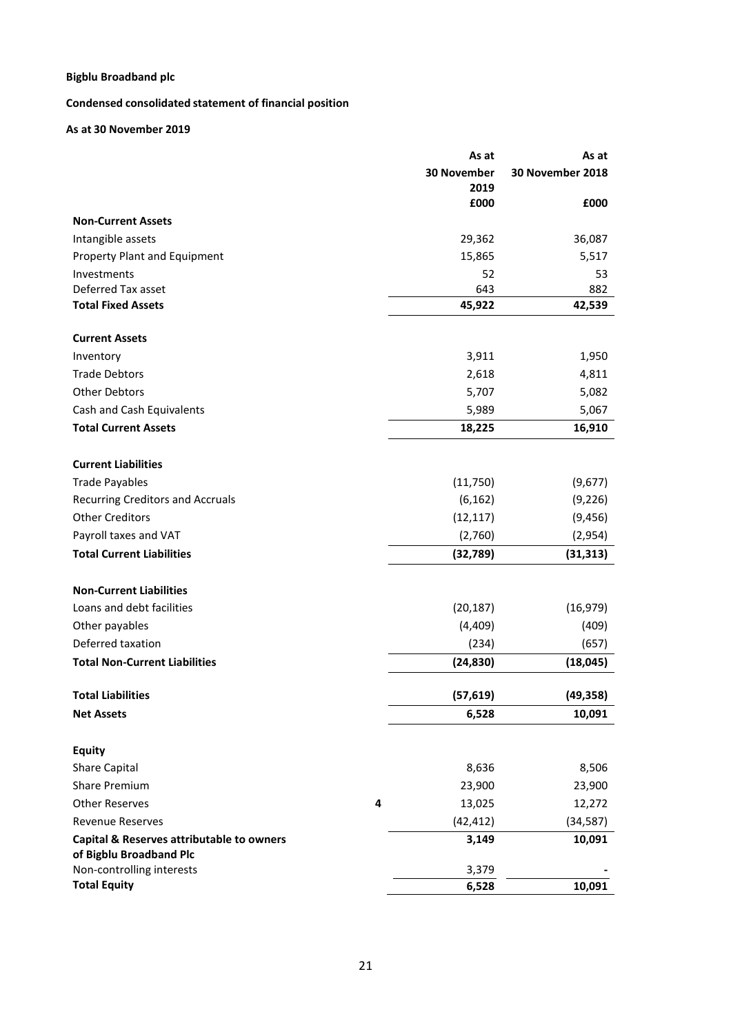# **Condensed consolidated statement of financial position**

# **As at 30 November 2019**

|                                                      |   | As at               | As at            |
|------------------------------------------------------|---|---------------------|------------------|
|                                                      |   | 30 November<br>2019 | 30 November 2018 |
|                                                      |   | £000                | £000             |
| <b>Non-Current Assets</b>                            |   |                     |                  |
| Intangible assets                                    |   | 29,362              | 36,087           |
| Property Plant and Equipment                         |   | 15,865              | 5,517            |
| Investments<br>Deferred Tax asset                    |   | 52<br>643           | 53<br>882        |
| <b>Total Fixed Assets</b>                            |   | 45,922              | 42,539           |
|                                                      |   |                     |                  |
| <b>Current Assets</b>                                |   |                     |                  |
| Inventory                                            |   | 3,911               | 1,950            |
| <b>Trade Debtors</b>                                 |   | 2,618               | 4,811            |
| <b>Other Debtors</b>                                 |   | 5,707               | 5,082            |
| Cash and Cash Equivalents                            |   | 5,989               | 5,067            |
| <b>Total Current Assets</b>                          |   | 18,225              | 16,910           |
| <b>Current Liabilities</b>                           |   |                     |                  |
| <b>Trade Payables</b>                                |   | (11,750)            | (9,677)          |
| Recurring Creditors and Accruals                     |   | (6, 162)            | (9, 226)         |
| <b>Other Creditors</b>                               |   | (12, 117)           | (9, 456)         |
| Payroll taxes and VAT                                |   | (2,760)             | (2,954)          |
| <b>Total Current Liabilities</b>                     |   | (32, 789)           | (31, 313)        |
|                                                      |   |                     |                  |
| <b>Non-Current Liabilities</b>                       |   |                     |                  |
| Loans and debt facilities                            |   | (20, 187)           | (16, 979)        |
| Other payables                                       |   | (4,409)             | (409)            |
| Deferred taxation                                    |   | (234)               | (657)            |
| <b>Total Non-Current Liabilities</b>                 |   | (24, 830)           | (18, 045)        |
| <b>Total Liabilities</b>                             |   | (57, 619)           | (49, 358)        |
| <b>Net Assets</b>                                    |   | 6,528               | 10,091           |
|                                                      |   |                     |                  |
| <b>Equity</b>                                        |   |                     |                  |
| <b>Share Capital</b>                                 |   | 8,636               | 8,506            |
| <b>Share Premium</b>                                 |   | 23,900              | 23,900           |
| <b>Other Reserves</b>                                | 4 | 13,025              | 12,272           |
| <b>Revenue Reserves</b>                              |   | (42, 412)           | (34, 587)        |
| Capital & Reserves attributable to owners            |   | 3,149               | 10,091           |
| of Bigblu Broadband Plc<br>Non-controlling interests |   | 3,379               |                  |
| <b>Total Equity</b>                                  |   | 6,528               | 10,091           |
|                                                      |   |                     |                  |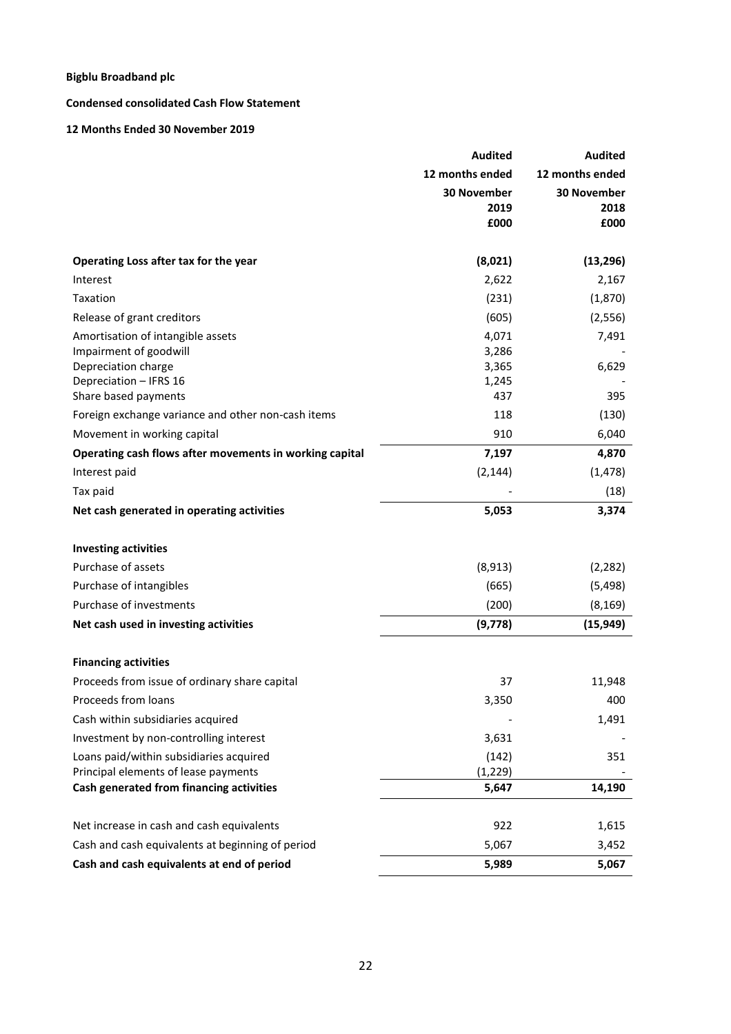# **Condensed consolidated Cash Flow Statement**

# **12 Months Ended 30 November 2019**

|                                                                                                                                      | <b>Audited</b>                          | <b>Audited</b>                     |
|--------------------------------------------------------------------------------------------------------------------------------------|-----------------------------------------|------------------------------------|
|                                                                                                                                      | 12 months ended                         | 12 months ended                    |
|                                                                                                                                      | <b>30 November</b><br>2019<br>£000      | <b>30 November</b><br>2018<br>£000 |
| Operating Loss after tax for the year                                                                                                | (8,021)                                 | (13, 296)                          |
| Interest                                                                                                                             | 2,622                                   | 2,167                              |
| Taxation                                                                                                                             | (231)                                   | (1,870)                            |
| Release of grant creditors                                                                                                           | (605)                                   | (2, 556)                           |
| Amortisation of intangible assets<br>Impairment of goodwill<br>Depreciation charge<br>Depreciation - IFRS 16<br>Share based payments | 4,071<br>3,286<br>3,365<br>1,245<br>437 | 7,491<br>6,629<br>395              |
| Foreign exchange variance and other non-cash items                                                                                   | 118                                     | (130)                              |
| Movement in working capital                                                                                                          | 910                                     | 6,040                              |
| Operating cash flows after movements in working capital                                                                              | 7,197                                   | 4,870                              |
| Interest paid                                                                                                                        | (2, 144)                                | (1, 478)                           |
| Tax paid                                                                                                                             |                                         | (18)                               |
| Net cash generated in operating activities                                                                                           | 5,053                                   | 3,374                              |
| <b>Investing activities</b>                                                                                                          |                                         |                                    |
| Purchase of assets                                                                                                                   | (8,913)                                 | (2, 282)                           |
| Purchase of intangibles                                                                                                              | (665)                                   | (5,498)                            |
| Purchase of investments                                                                                                              | (200)                                   | (8, 169)                           |
| Net cash used in investing activities                                                                                                | (9,778)                                 | (15, 949)                          |
| <b>Financing activities</b>                                                                                                          |                                         |                                    |
| Proceeds from issue of ordinary share capital                                                                                        | 37                                      | 11,948                             |
| Proceeds from loans                                                                                                                  | 3,350                                   | 400                                |
| Cash within subsidiaries acquired                                                                                                    |                                         | 1,491                              |
| Investment by non-controlling interest                                                                                               | 3,631                                   |                                    |
| Loans paid/within subsidiaries acquired<br>Principal elements of lease payments                                                      | (142)<br>(1, 229)                       | 351                                |
| Cash generated from financing activities                                                                                             | 5,647                                   | 14,190                             |
| Net increase in cash and cash equivalents                                                                                            | 922                                     | 1,615                              |
| Cash and cash equivalents at beginning of period                                                                                     | 5,067                                   | 3,452                              |
| Cash and cash equivalents at end of period                                                                                           | 5,989                                   | 5,067                              |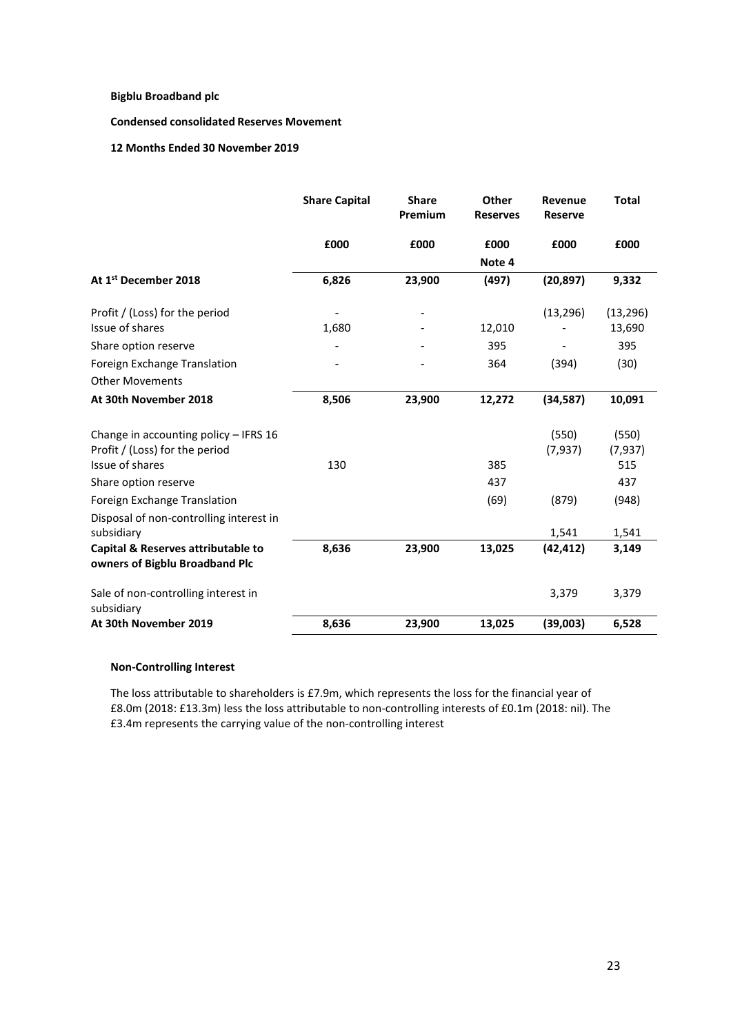**Condensed consolidated Reserves Movement**

**12 Months Ended 30 November 2019**

|                                                                      | <b>Share Capital</b> | <b>Share</b><br>Premium | Other<br><b>Reserves</b> | Revenue<br><b>Reserve</b> | <b>Total</b>    |
|----------------------------------------------------------------------|----------------------|-------------------------|--------------------------|---------------------------|-----------------|
|                                                                      | £000                 | £000                    | £000                     | £000                      | £000            |
|                                                                      |                      |                         | Note 4                   |                           |                 |
| At 1 <sup>st</sup> December 2018                                     | 6,826                | 23,900                  | (497)                    | (20, 897)                 | 9,332           |
| Profit / (Loss) for the period                                       |                      |                         |                          | (13, 296)                 | (13, 296)       |
| Issue of shares                                                      | 1,680                |                         | 12,010                   |                           | 13,690          |
| Share option reserve                                                 |                      |                         | 395                      |                           | 395             |
| Foreign Exchange Translation                                         |                      |                         | 364                      | (394)                     | (30)            |
| <b>Other Movements</b>                                               |                      |                         |                          |                           |                 |
| At 30th November 2018                                                | 8,506                | 23,900                  | 12,272                   | (34, 587)                 | 10,091          |
| Change in accounting policy - IFRS 16                                |                      |                         |                          | (550)                     | (550)           |
| Profit / (Loss) for the period<br>Issue of shares                    | 130                  |                         | 385                      | (7, 937)                  | (7, 937)<br>515 |
| Share option reserve                                                 |                      |                         | 437                      |                           | 437             |
| Foreign Exchange Translation                                         |                      |                         | (69)                     | (879)                     | (948)           |
| Disposal of non-controlling interest in<br>subsidiary                |                      |                         |                          | 1,541                     | 1,541           |
| Capital & Reserves attributable to<br>owners of Bigblu Broadband Plc | 8,636                | 23,900                  | 13,025                   | (42, 412)                 | 3,149           |
| Sale of non-controlling interest in<br>subsidiary                    |                      |                         |                          | 3,379                     | 3,379           |
| At 30th November 2019                                                | 8,636                | 23,900                  | 13,025                   | (39,003)                  | 6,528           |

## **Non-Controlling Interest**

The loss attributable to shareholders is £7.9m, which represents the loss for the financial year of £8.0m (2018: £13.3m) less the loss attributable to non-controlling interests of £0.1m (2018: nil). The £3.4m represents the carrying value of the non-controlling interest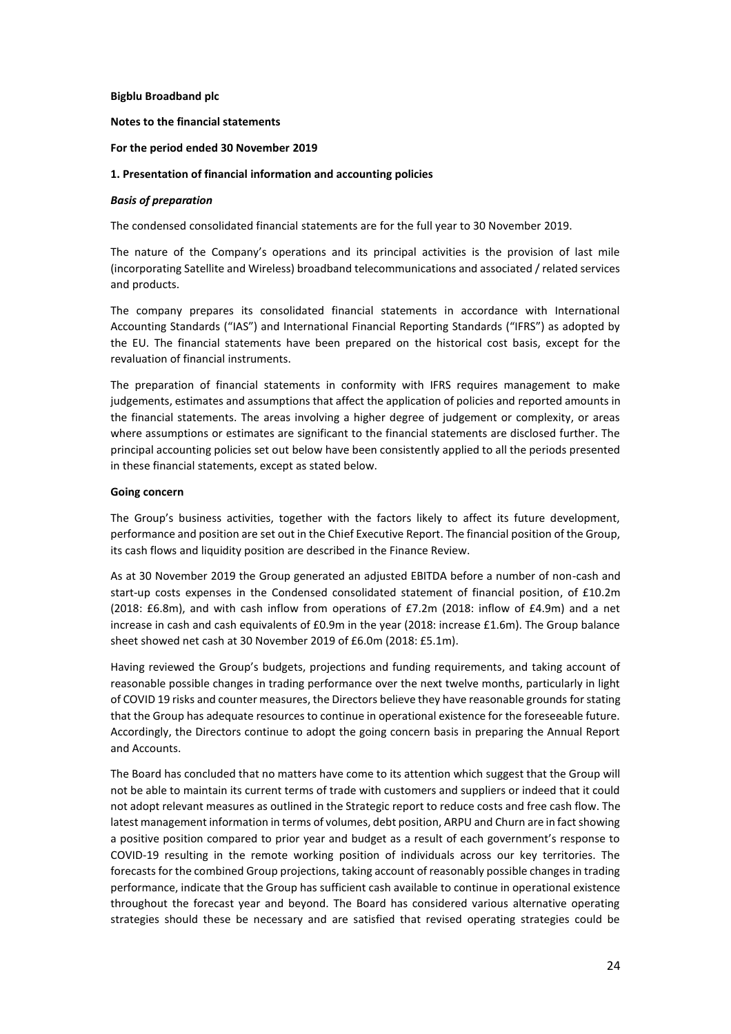**Notes to the financial statements**

## **For the period ended 30 November 2019**

#### **1. Presentation of financial information and accounting policies**

#### *Basis of preparation*

The condensed consolidated financial statements are for the full year to 30 November 2019.

The nature of the Company's operations and its principal activities is the provision of last mile (incorporating Satellite and Wireless) broadband telecommunications and associated / related services and products.

The company prepares its consolidated financial statements in accordance with International Accounting Standards ("IAS") and International Financial Reporting Standards ("IFRS") as adopted by the EU. The financial statements have been prepared on the historical cost basis, except for the revaluation of financial instruments.

The preparation of financial statements in conformity with IFRS requires management to make judgements, estimates and assumptions that affect the application of policies and reported amounts in the financial statements. The areas involving a higher degree of judgement or complexity, or areas where assumptions or estimates are significant to the financial statements are disclosed further. The principal accounting policies set out below have been consistently applied to all the periods presented in these financial statements, except as stated below.

## **Going concern**

The Group's business activities, together with the factors likely to affect its future development, performance and position are set out in the Chief Executive Report. The financial position of the Group, its cash flows and liquidity position are described in the Finance Review.

As at 30 November 2019 the Group generated an adjusted EBITDA before a number of non-cash and start-up costs expenses in the Condensed consolidated statement of financial position, of £10.2m (2018: £6.8m), and with cash inflow from operations of £7.2m (2018: inflow of £4.9m) and a net increase in cash and cash equivalents of £0.9m in the year (2018: increase £1.6m). The Group balance sheet showed net cash at 30 November 2019 of £6.0m (2018: £5.1m).

Having reviewed the Group's budgets, projections and funding requirements, and taking account of reasonable possible changes in trading performance over the next twelve months, particularly in light of COVID 19 risks and counter measures, the Directors believe they have reasonable grounds for stating that the Group has adequate resources to continue in operational existence for the foreseeable future. Accordingly, the Directors continue to adopt the going concern basis in preparing the Annual Report and Accounts.

The Board has concluded that no matters have come to its attention which suggest that the Group will not be able to maintain its current terms of trade with customers and suppliers or indeed that it could not adopt relevant measures as outlined in the Strategic report to reduce costs and free cash flow. The latest management information in terms of volumes, debt position, ARPU and Churn are in fact showing a positive position compared to prior year and budget as a result of each government's response to COVID-19 resulting in the remote working position of individuals across our key territories. The forecasts for the combined Group projections, taking account of reasonably possible changes in trading performance, indicate that the Group has sufficient cash available to continue in operational existence throughout the forecast year and beyond. The Board has considered various alternative operating strategies should these be necessary and are satisfied that revised operating strategies could be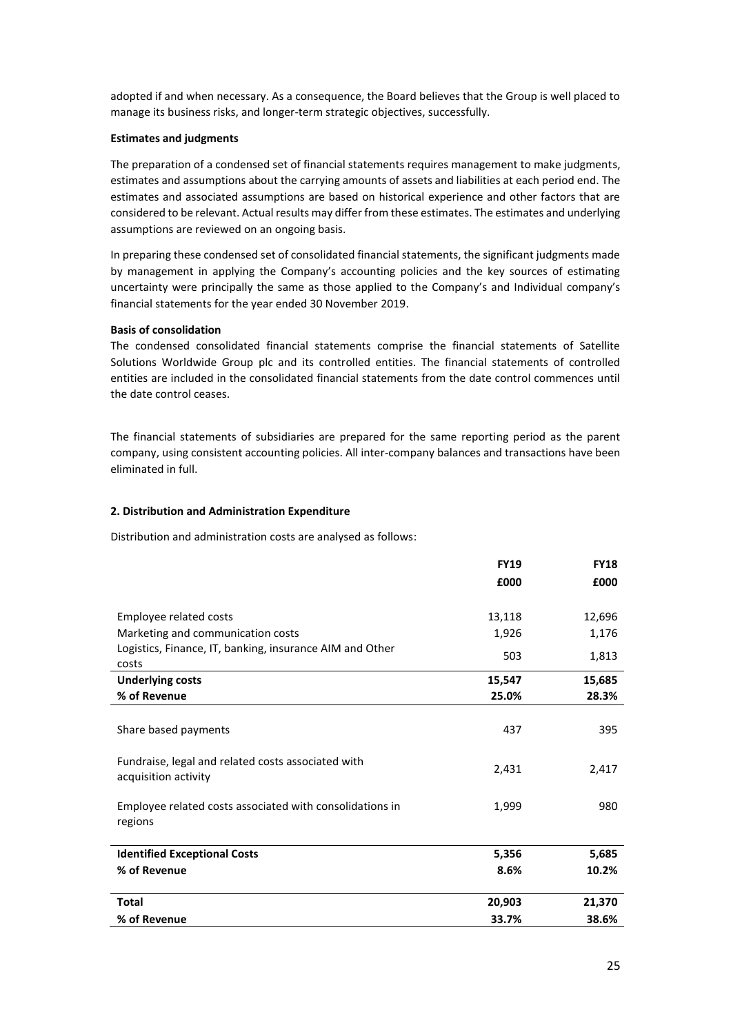adopted if and when necessary. As a consequence, the Board believes that the Group is well placed to manage its business risks, and longer-term strategic objectives, successfully.

## **Estimates and judgments**

The preparation of a condensed set of financial statements requires management to make judgments, estimates and assumptions about the carrying amounts of assets and liabilities at each period end. The estimates and associated assumptions are based on historical experience and other factors that are considered to be relevant. Actual results may differ from these estimates. The estimates and underlying assumptions are reviewed on an ongoing basis.

In preparing these condensed set of consolidated financial statements, the significant judgments made by management in applying the Company's accounting policies and the key sources of estimating uncertainty were principally the same as those applied to the Company's and Individual company's financial statements for the year ended 30 November 2019.

## **Basis of consolidation**

The condensed consolidated financial statements comprise the financial statements of Satellite Solutions Worldwide Group plc and its controlled entities. The financial statements of controlled entities are included in the consolidated financial statements from the date control commences until the date control ceases.

The financial statements of subsidiaries are prepared for the same reporting period as the parent company, using consistent accounting policies. All inter-company balances and transactions have been eliminated in full.

#### **2. Distribution and Administration Expenditure**

Distribution and administration costs are analysed as follows:

|                                                                            | <b>FY19</b> | <b>FY18</b> |
|----------------------------------------------------------------------------|-------------|-------------|
|                                                                            | £000        | £000        |
|                                                                            |             |             |
| Employee related costs                                                     | 13,118      | 12,696      |
| Marketing and communication costs                                          | 1,926       | 1,176       |
| Logistics, Finance, IT, banking, insurance AIM and Other<br>costs          | 503         | 1,813       |
| <b>Underlying costs</b>                                                    | 15,547      | 15,685      |
| % of Revenue                                                               | 25.0%       | 28.3%       |
|                                                                            |             |             |
| Share based payments                                                       | 437         | 395         |
| Fundraise, legal and related costs associated with<br>acquisition activity | 2,431       | 2,417       |
| Employee related costs associated with consolidations in<br>regions        | 1,999       | 980         |
| <b>Identified Exceptional Costs</b>                                        | 5,356       | 5,685       |
| % of Revenue                                                               | 8.6%        | 10.2%       |
| <b>Total</b>                                                               | 20,903      | 21,370      |
| % of Revenue                                                               | 33.7%       | 38.6%       |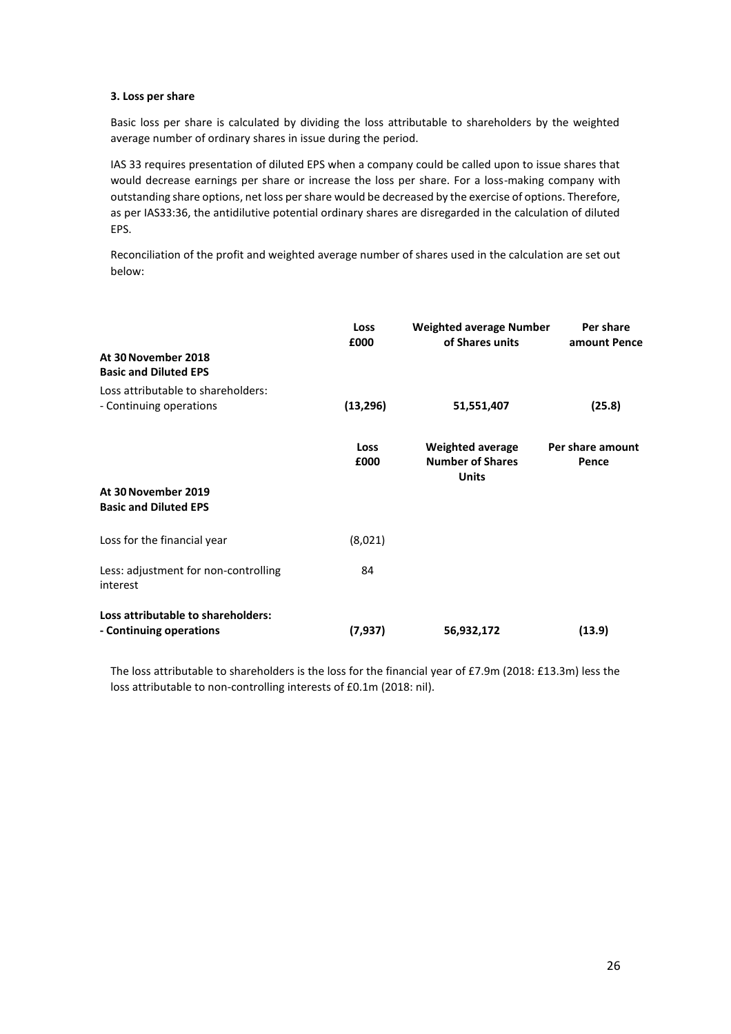## **3. Loss per share**

Basic loss per share is calculated by dividing the loss attributable to shareholders by the weighted average number of ordinary shares in issue during the period.

IAS 33 requires presentation of diluted EPS when a company could be called upon to issue shares that would decrease earnings per share or increase the loss per share. For a loss-making company with outstanding share options, net loss per share would be decreased by the exercise of options. Therefore, as per IAS33:36, the antidilutive potential ordinary shares are disregarded in the calculation of diluted EPS.

Reconciliation of the profit and weighted average number of shares used in the calculation are set out below:

|                                                               | Loss<br>£000 | <b>Weighted average Number</b><br>of Shares units                  | Per share<br>amount Pence |  |
|---------------------------------------------------------------|--------------|--------------------------------------------------------------------|---------------------------|--|
| At 30 November 2018<br><b>Basic and Diluted EPS</b>           |              |                                                                    |                           |  |
| Loss attributable to shareholders:<br>- Continuing operations | (13, 296)    | 51,551,407                                                         | (25.8)                    |  |
|                                                               | Loss<br>£000 | <b>Weighted average</b><br><b>Number of Shares</b><br><b>Units</b> | Per share amount<br>Pence |  |
| At 30 November 2019<br><b>Basic and Diluted EPS</b>           |              |                                                                    |                           |  |
| Loss for the financial year                                   | (8,021)      |                                                                    |                           |  |
| Less: adjustment for non-controlling<br>interest              | 84           |                                                                    |                           |  |
| Loss attributable to shareholders:<br>- Continuing operations | (7,937)      | 56,932,172                                                         | (13.9)                    |  |

The loss attributable to shareholders is the loss for the financial year of £7.9m (2018: £13.3m) less the loss attributable to non-controlling interests of £0.1m (2018: nil).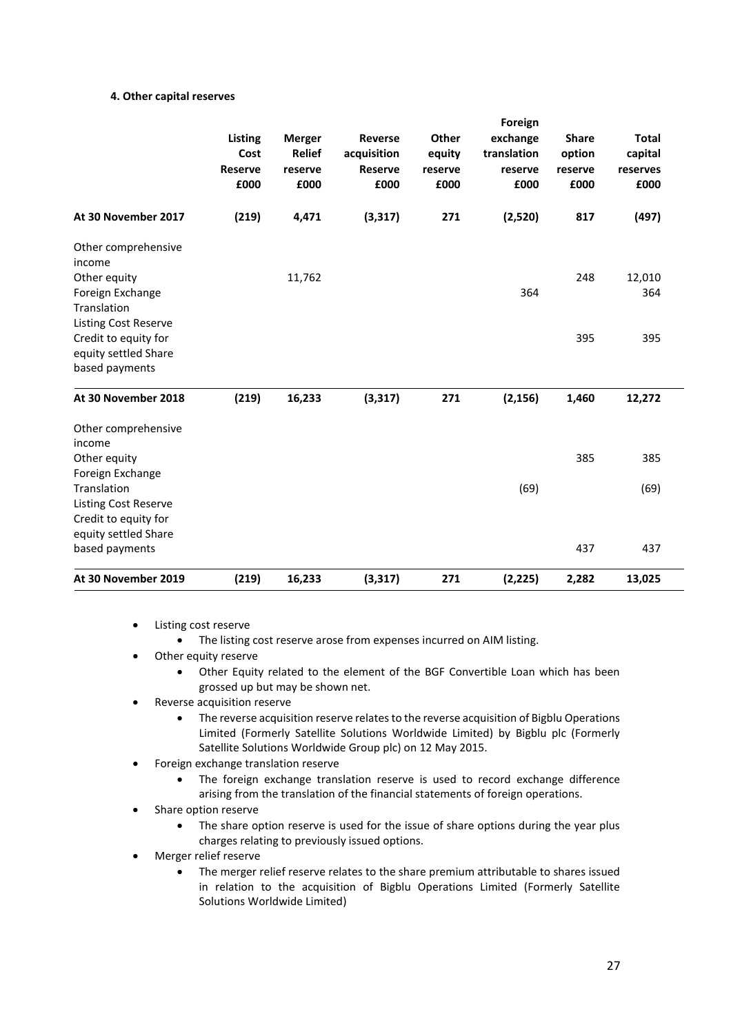## **4. Other capital reserves**

|                                                                                 |       | Listing<br>Other<br><b>Merger</b><br><b>Reverse</b><br><b>Relief</b><br>acquisition<br>Cost<br>equity<br><b>Reserve</b><br><b>Reserve</b><br>reserve<br>reserve<br>£000<br>£000<br>£000<br>£000 | Foreign  |     |                                            |                                           |                                             |  |
|---------------------------------------------------------------------------------|-------|-------------------------------------------------------------------------------------------------------------------------------------------------------------------------------------------------|----------|-----|--------------------------------------------|-------------------------------------------|---------------------------------------------|--|
|                                                                                 |       |                                                                                                                                                                                                 |          |     | exchange<br>translation<br>reserve<br>£000 | <b>Share</b><br>option<br>reserve<br>£000 | <b>Total</b><br>capital<br>reserves<br>£000 |  |
| At 30 November 2017                                                             | (219) | 4,471                                                                                                                                                                                           | (3, 317) | 271 | (2,520)                                    | 817                                       | (497)                                       |  |
| Other comprehensive<br>income                                                   |       |                                                                                                                                                                                                 |          |     |                                            |                                           |                                             |  |
| Other equity<br>Foreign Exchange<br>Translation<br>Listing Cost Reserve         |       | 11,762                                                                                                                                                                                          |          |     | 364                                        | 248                                       | 12,010<br>364                               |  |
| Credit to equity for<br>equity settled Share<br>based payments                  |       |                                                                                                                                                                                                 |          |     |                                            | 395                                       | 395                                         |  |
| At 30 November 2018                                                             | (219) | 16,233                                                                                                                                                                                          | (3, 317) | 271 | (2, 156)                                   | 1,460                                     | 12,272                                      |  |
| Other comprehensive<br>income<br>Other equity                                   |       |                                                                                                                                                                                                 |          |     |                                            | 385                                       | 385                                         |  |
| Foreign Exchange<br>Translation<br>Listing Cost Reserve<br>Credit to equity for |       |                                                                                                                                                                                                 |          |     | (69)                                       |                                           | (69)                                        |  |
| equity settled Share<br>based payments                                          |       |                                                                                                                                                                                                 |          |     |                                            | 437                                       | 437                                         |  |
| At 30 November 2019                                                             | (219) | 16,233                                                                                                                                                                                          | (3, 317) | 271 | (2, 225)                                   | 2,282                                     | 13,025                                      |  |

- Listing cost reserve
	- The listing cost reserve arose from expenses incurred on AIM listing.
- Other equity reserve
	- Other Equity related to the element of the BGF Convertible Loan which has been grossed up but may be shown net.
- Reverse acquisition reserve
	- The reverse acquisition reserve relates to the reverse acquisition of Bigblu Operations Limited (Formerly Satellite Solutions Worldwide Limited) by Bigblu plc (Formerly Satellite Solutions Worldwide Group plc) on 12 May 2015.
- Foreign exchange translation reserve
	- The foreign exchange translation reserve is used to record exchange difference arising from the translation of the financial statements of foreign operations.
- Share option reserve
	- The share option reserve is used for the issue of share options during the year plus charges relating to previously issued options.
- Merger relief reserve
	- The merger relief reserve relates to the share premium attributable to shares issued in relation to the acquisition of Bigblu Operations Limited (Formerly Satellite Solutions Worldwide Limited)